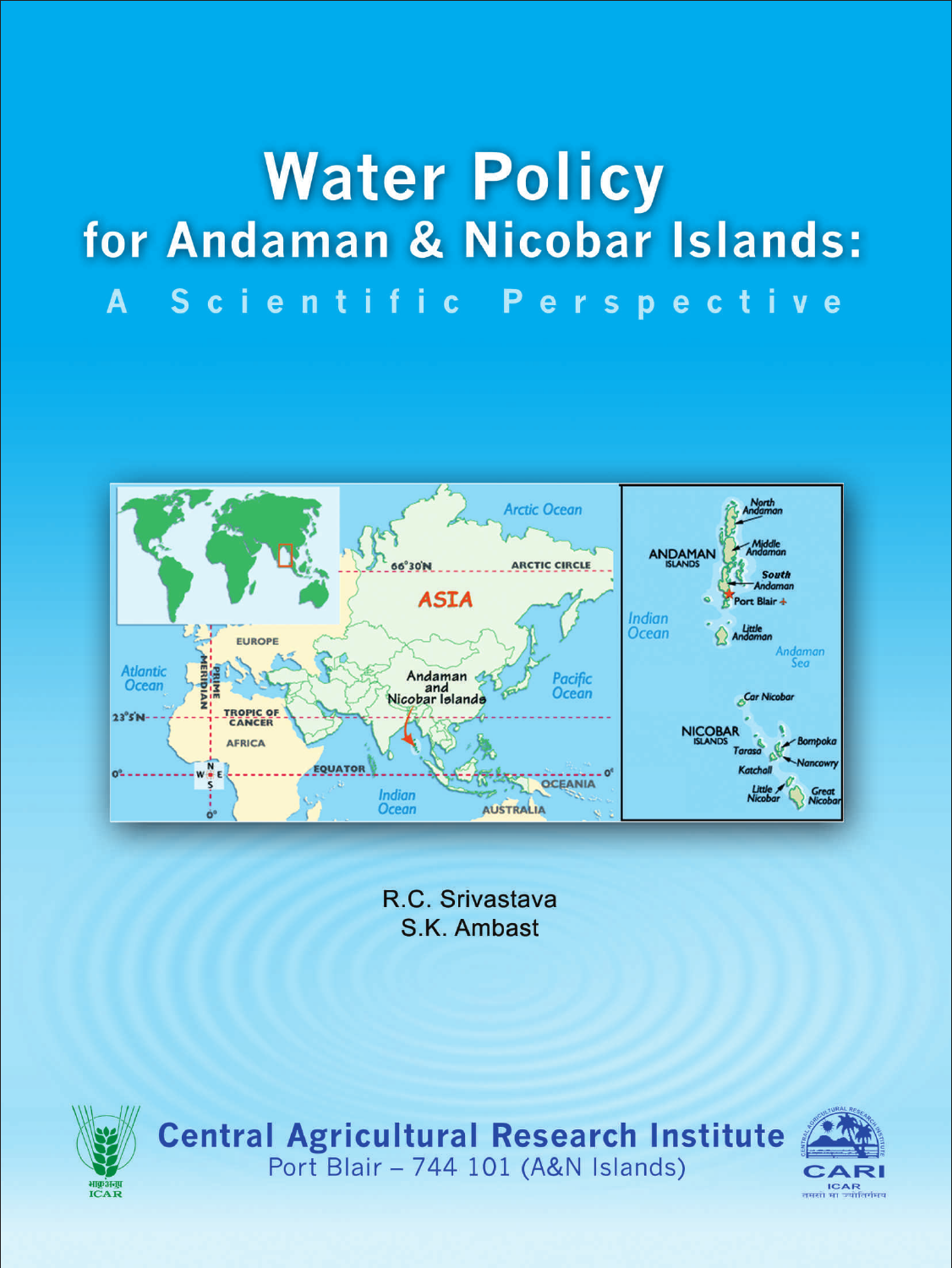# **Water Policy** for Andaman & Nicobar Islands: A Scientific Perspective

**Arctic Ocean** ANDAMAN **ARCTIC CIRCLE** 56°30'N **South ASIA** Port Blair + Indian<br>Ocean Little<br>Andaman EUROPE Andaman **Atlantic** Andaman Pacific **Ocean** and<br>Nicobar Islands Car Nicobar TROPIC OF  $23^{\circ}5^{\circ}N -$ **NICOBAR AFRICA** QUATOR  $20^{\circ}$ OCEANIA **Indian** AUSTRALIA **Ocean** 

> R.C. Srivastava S.K. Ambast



Central Agricultural Research Institute<br>Port Blair - 744 101 (A&N Islands)

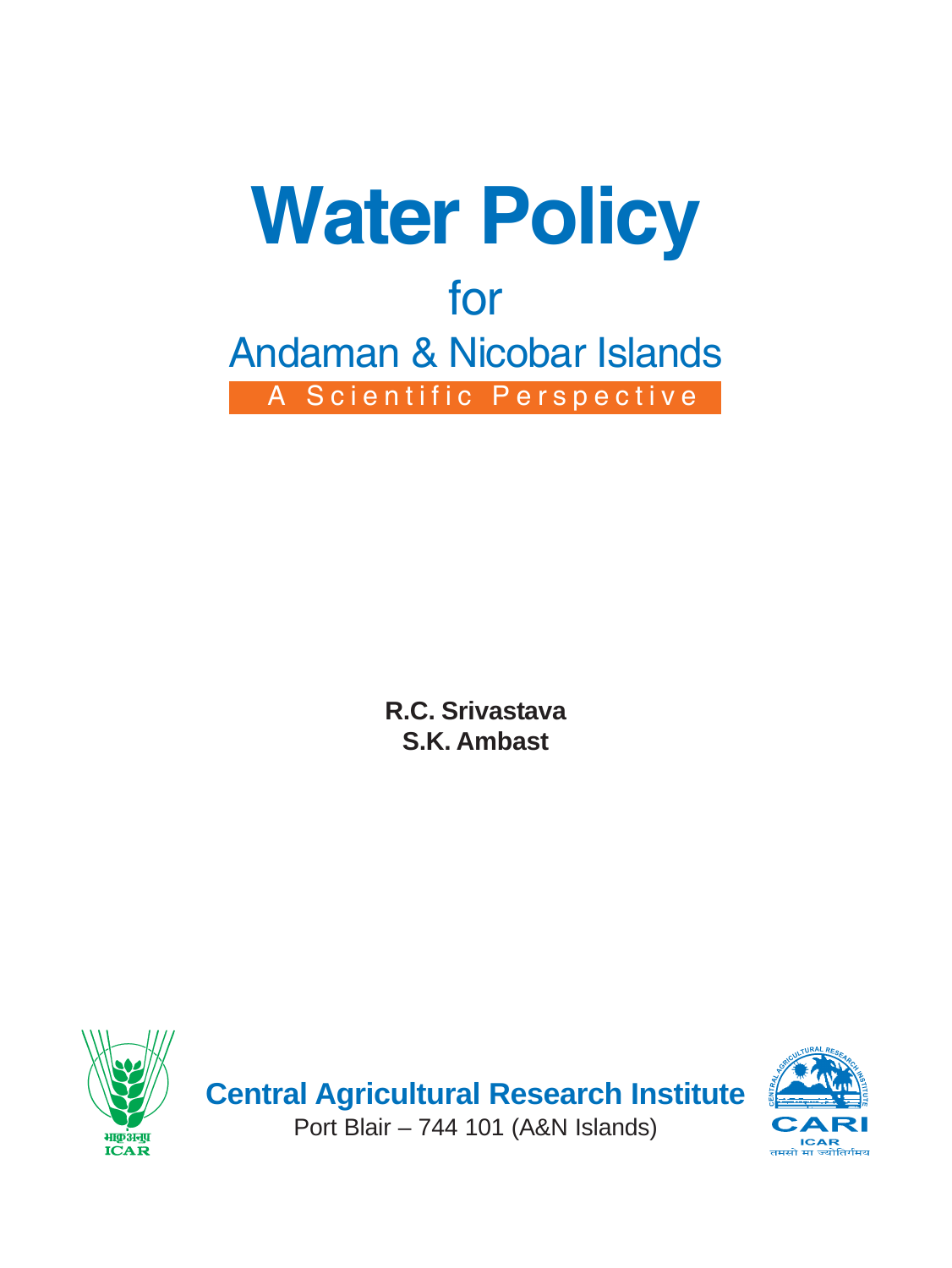

**R.C. Srivastava S.K. Ambast**



**Central Agricultural Research Institute** Port Blair – 744 101 (A&N Islands)

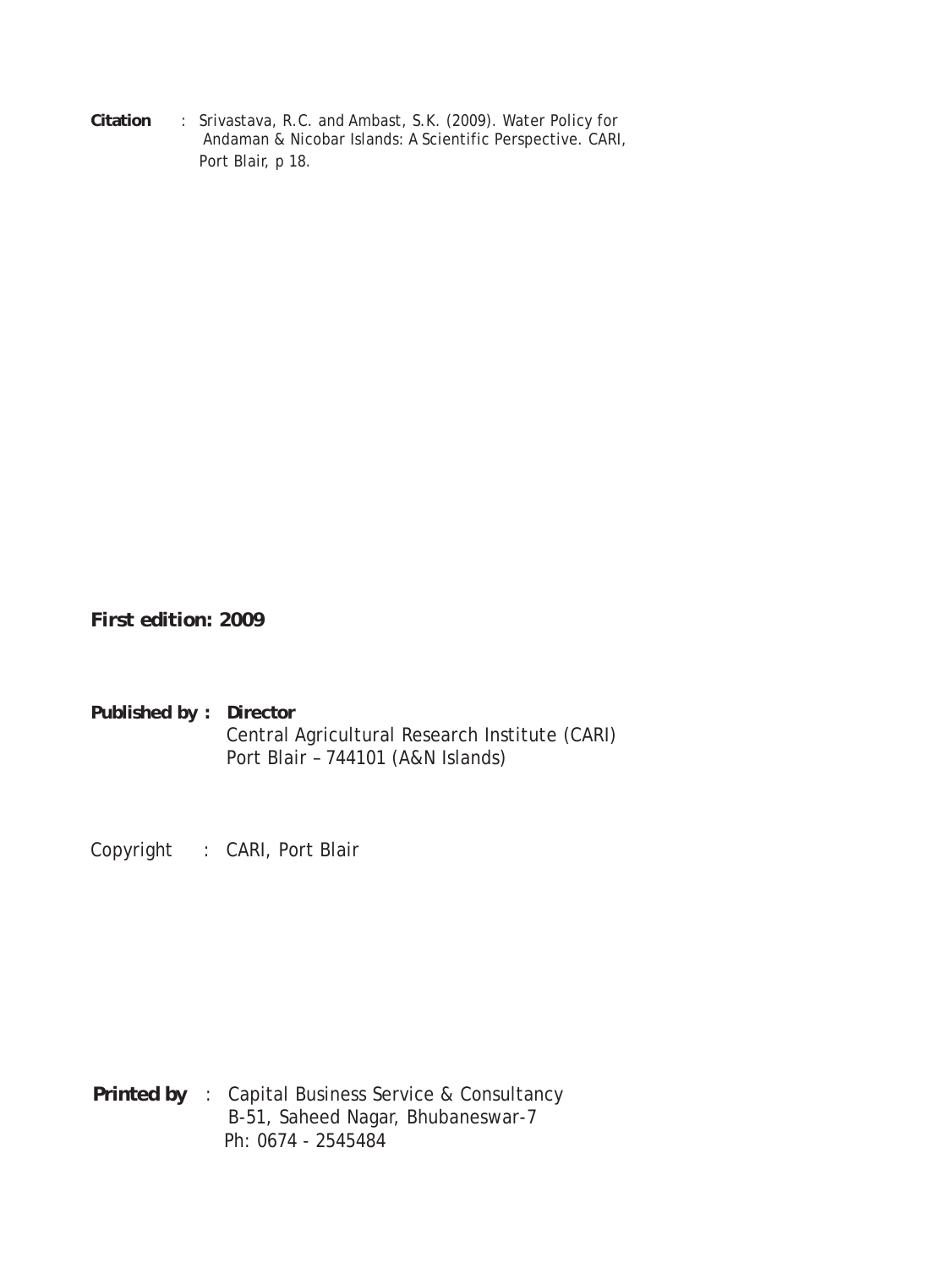**Citation** : Srivastava, R.C. and Ambast, S.K. (2009). Water Policy for Andaman & Nicobar Islands: A Scientific Perspective. CARI, Port Blair, p 18.

*First edition: 2009*

**Published by : Director** Central Agricultural Research Institute (CARI) Port Blair – 744101 (A&N Islands)

Copyright : CARI, Port Blair

**Printed by** : Capital Business Service & Consultancy B-51, Saheed Nagar, Bhubaneswar-7 Ph: 0674 - 2545484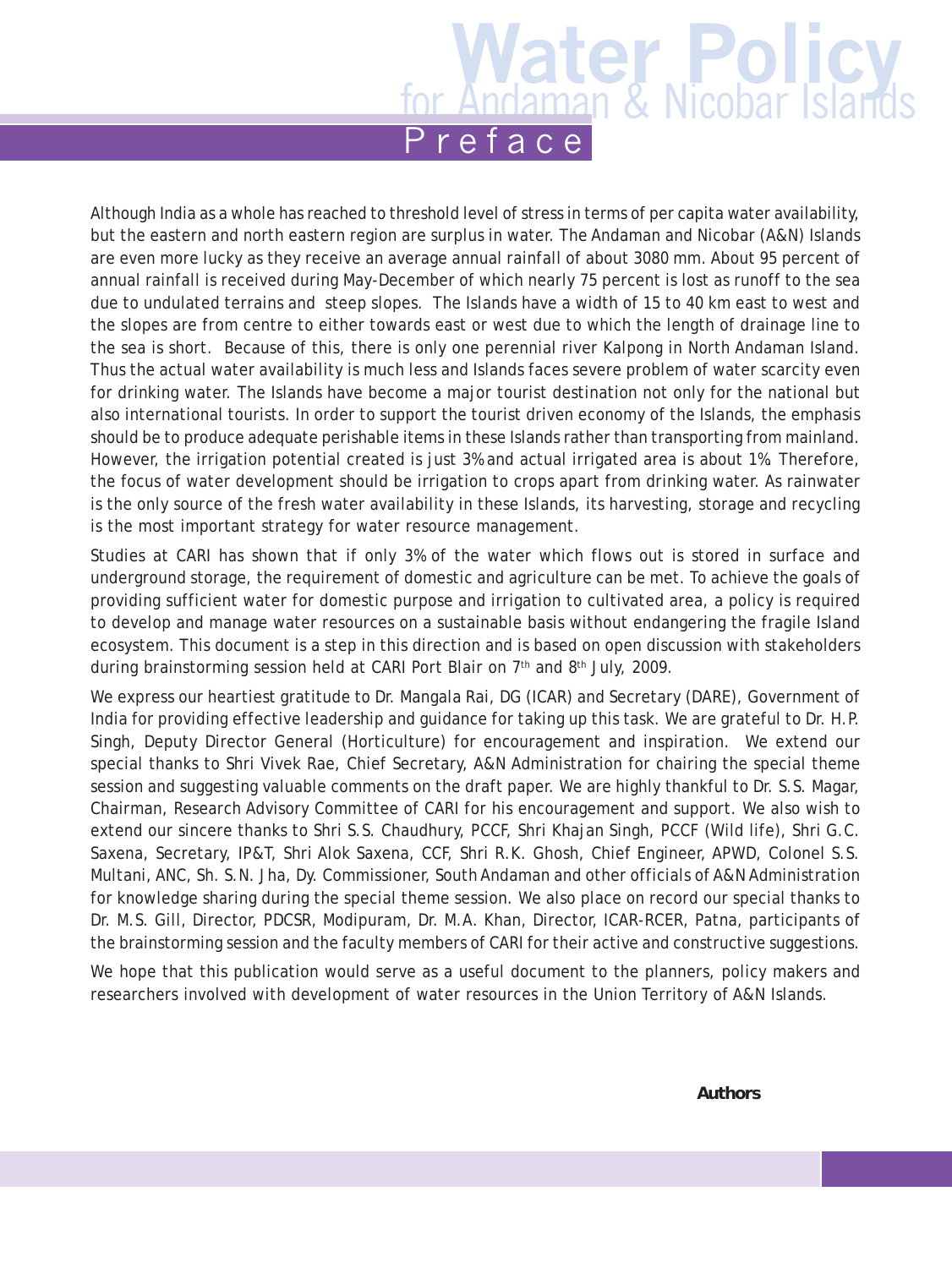Although India as a whole has reached to threshold level of stress in terms of per capita water availability, but the eastern and north eastern region are surplus in water. The Andaman and Nicobar (A&N) Islands are even more lucky as they receive an average annual rainfall of about 3080 mm. About 95 percent of annual rainfall is received during May-December of which nearly 75 percent is lost as runoff to the sea due to undulated terrains and steep slopes. The Islands have a width of 15 to 40 km east to west and the slopes are from centre to either towards east or west due to which the length of drainage line to the sea is short. Because of this, there is only one perennial river Kalpong in North Andaman Island. Thus the actual water availability is much less and Islands faces severe problem of water scarcity even for drinking water. The Islands have become a major tourist destination not only for the national but also international tourists. In order to support the tourist driven economy of the Islands, the emphasis should be to produce adequate perishable items in these Islands rather than transporting from mainland. However, the irrigation potential created is just 3% and actual irrigated area is about 1%. Therefore, the focus of water development should be irrigation to crops apart from drinking water. As rainwater is the only source of the fresh water availability in these Islands, its harvesting, storage and recycling is the most important strategy for water resource management.

Studies at CARI has shown that if only 3% of the water which flows out is stored in surface and underground storage, the requirement of domestic and agriculture can be met. To achieve the goals of providing sufficient water for domestic purpose and irrigation to cultivated area, a policy is required to develop and manage water resources on a sustainable basis without endangering the fragile Island ecosystem. This document is a step in this direction and is based on open discussion with stakeholders during brainstorming session held at CARI Port Blair on 7th and 8th July, 2009.

We express our heartiest gratitude to Dr. Mangala Rai, DG (ICAR) and Secretary (DARE), Government of India for providing effective leadership and guidance for taking up this task. We are grateful to Dr. H.P. Singh, Deputy Director General (Horticulture) for encouragement and inspiration. We extend our special thanks to Shri Vivek Rae, Chief Secretary, A&N Administration for chairing the special theme session and suggesting valuable comments on the draft paper. We are highly thankful to Dr. S.S. Magar, Chairman, Research Advisory Committee of CARI for his encouragement and support. We also wish to extend our sincere thanks to Shri S.S. Chaudhury, PCCF, Shri Khajan Singh, PCCF (Wild life), Shri G.C. Saxena, Secretary, IP&T, Shri Alok Saxena, CCF, Shri R.K. Ghosh, Chief Engineer, APWD, Colonel S.S. Multani, ANC, Sh. S.N. Jha, Dy. Commissioner, South Andaman and other officials of A&N Administration for knowledge sharing during the special theme session. We also place on record our special thanks to Dr. M.S. Gill, Director, PDCSR, Modipuram, Dr. M.A. Khan, Director, ICAR-RCER, Patna, participants of the brainstorming session and the faculty members of CARI for their active and constructive suggestions.

We hope that this publication would serve as a useful document to the planners, policy makers and researchers involved with development of water resources in the Union Territory of A&N Islands.

**Authors**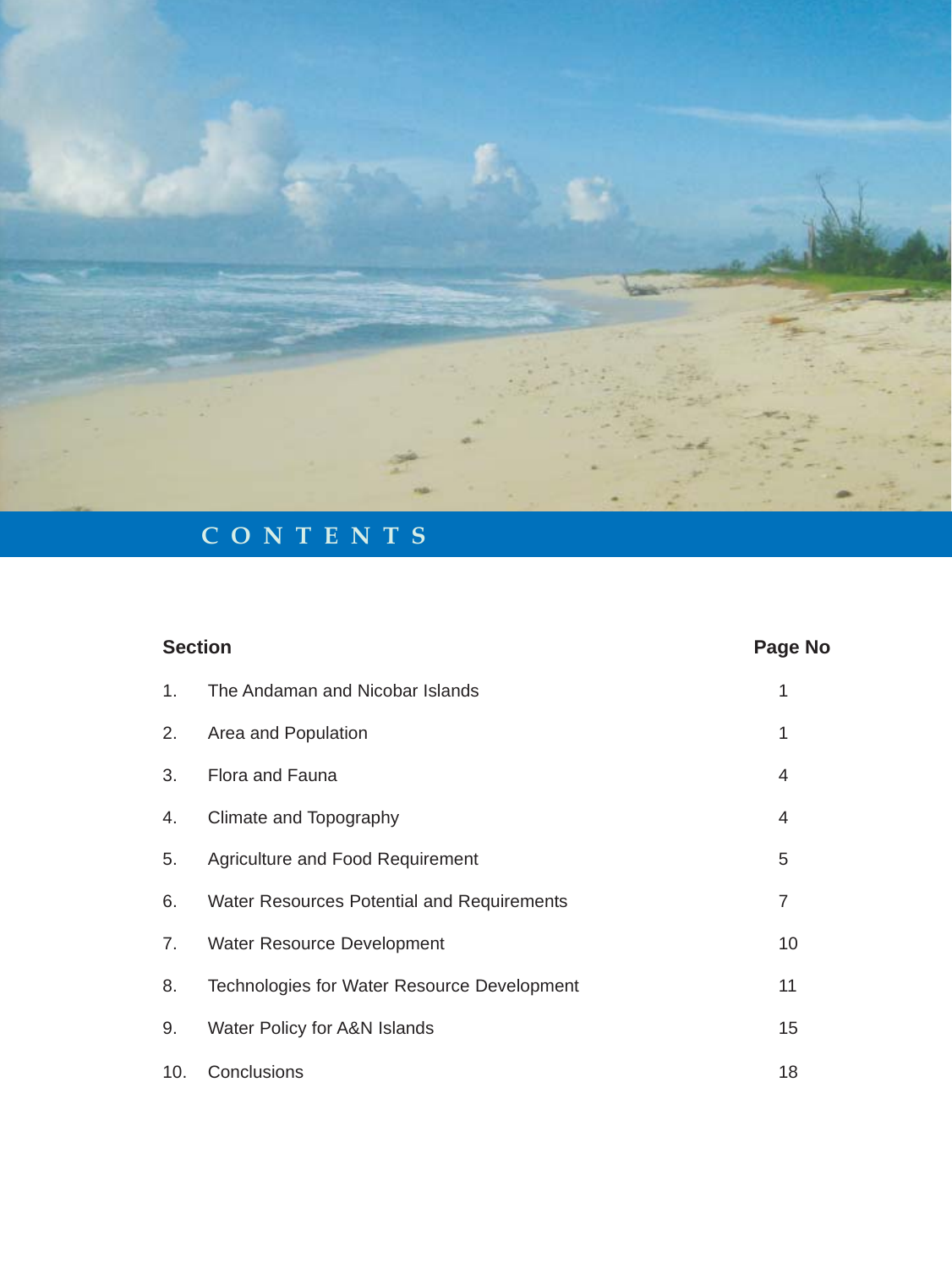

# **CONTENTS**

| <b>Section</b> |                                                   | Page No        |
|----------------|---------------------------------------------------|----------------|
| 1.             | The Andaman and Nicobar Islands                   | 1              |
| 2.             | Area and Population                               | 1              |
| 3.             | Flora and Fauna                                   | 4              |
| 4.             | Climate and Topography                            | 4              |
| 5.             | Agriculture and Food Requirement                  | 5              |
| 6.             | <b>Water Resources Potential and Requirements</b> | $\overline{7}$ |
| 7.             | <b>Water Resource Development</b>                 | 10             |
| 8.             | Technologies for Water Resource Development       | 11             |
| 9.             | Water Policy for A&N Islands                      | 15             |
| 10.            | Conclusions                                       | 18             |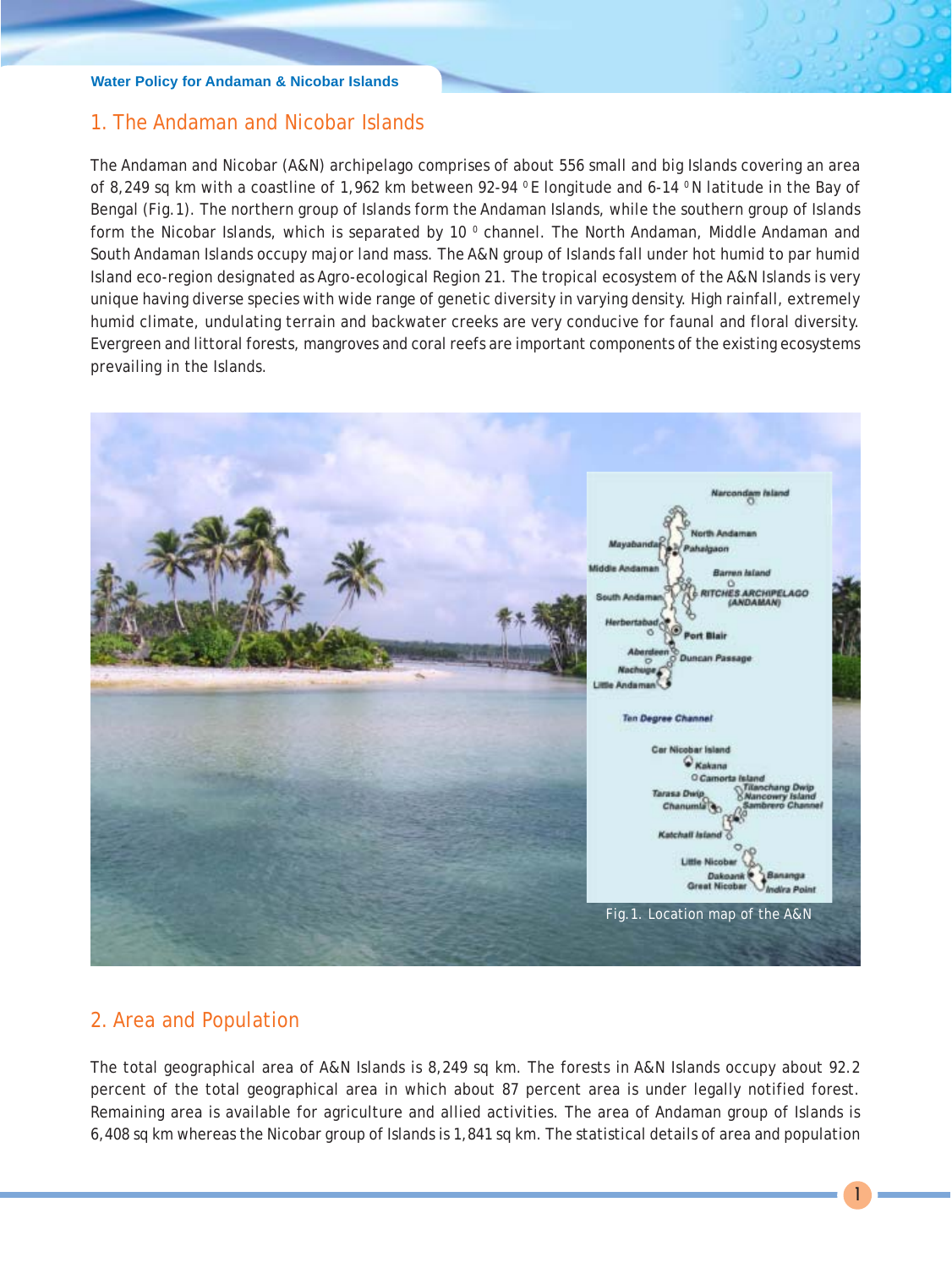# 1. The Andaman and Nicobar Islands

The Andaman and Nicobar (A&N) archipelago comprises of about 556 small and big Islands covering an area of 8,249 sq km with a coastline of 1,962 km between 92-94 °E longitude and 6-14 °N latitude in the Bay of Bengal (Fig.1). The northern group of Islands form the Andaman Islands, while the southern group of Islands form the Nicobar Islands, which is separated by 10  $^{\circ}$  channel. The North Andaman, Middle Andaman and South Andaman Islands occupy major land mass. The A&N group of Islands fall under hot humid to par humid Island eco-region designated as Agro-ecological Region 21. The tropical ecosystem of the A&N Islands is very unique having diverse species with wide range of genetic diversity in varying density. High rainfall, extremely humid climate, undulating terrain and backwater creeks are very conducive for faunal and floral diversity. Evergreen and littoral forests, mangroves and coral reefs are important components of the existing ecosystems prevailing in the Islands.



# 2. Area and Population

The total geographical area of A&N Islands is 8,249 sq km. The forests in A&N Islands occupy about 92.2 percent of the total geographical area in which about 87 percent area is under legally notified forest. Remaining area is available for agriculture and allied activities. The area of Andaman group of Islands is 6,408 sq km whereas the Nicobar group of Islands is 1,841 sq km. The statistical details of area and population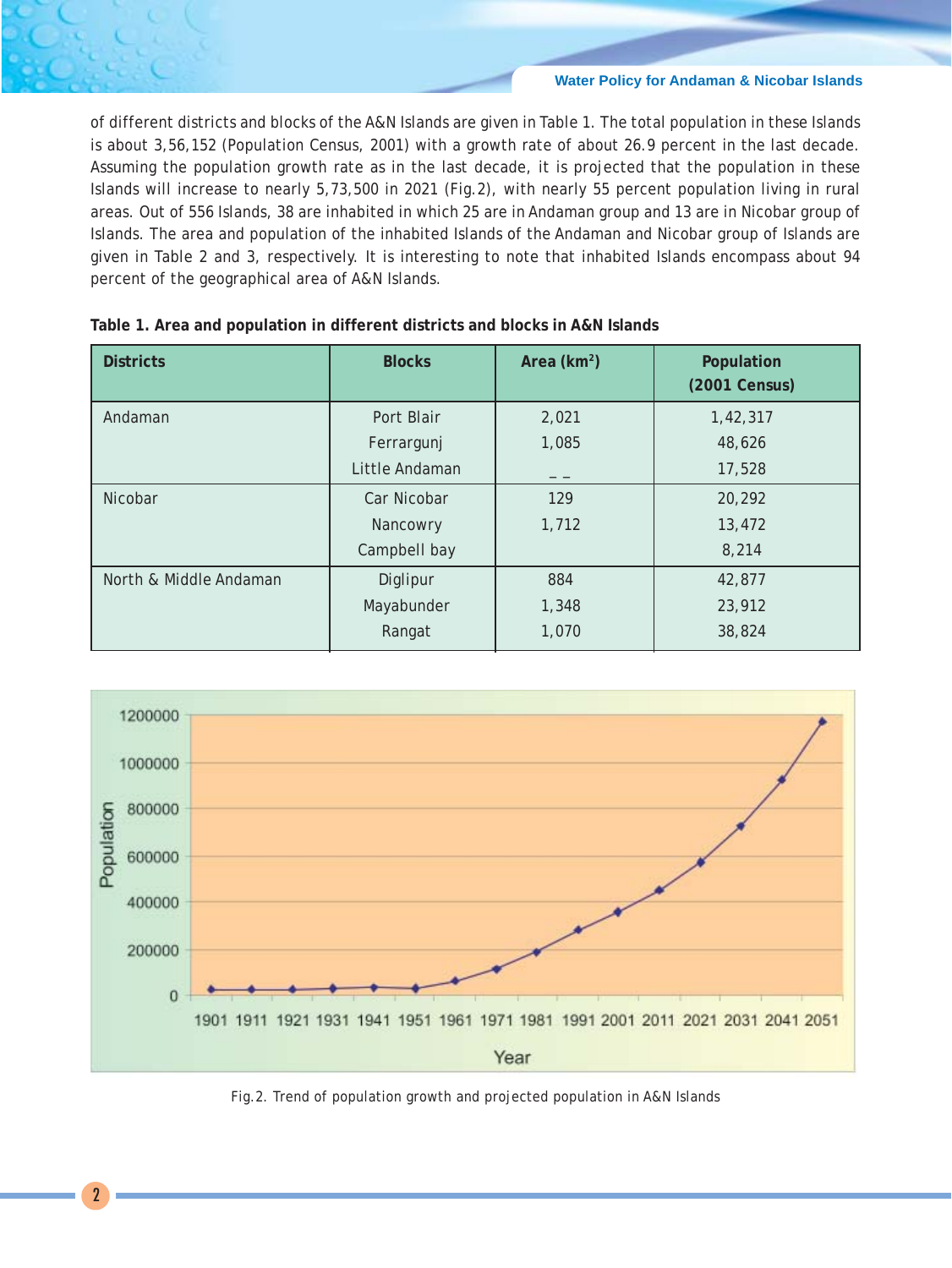of different districts and blocks of the A&N Islands are given in Table 1. The total population in these Islands is about 3,56,152 (Population Census, 2001) with a growth rate of about 26.9 percent in the last decade. Assuming the population growth rate as in the last decade, it is projected that the population in these Islands will increase to nearly 5,73,500 in 2021 (Fig.2), with nearly 55 percent population living in rural areas. Out of 556 Islands, 38 are inhabited in which 25 are in Andaman group and 13 are in Nicobar group of Islands. The area and population of the inhabited Islands of the Andaman and Nicobar group of Islands are given in Table 2 and 3, respectively. It is interesting to note that inhabited Islands encompass about 94 percent of the geographical area of A&N Islands.

| <b>Districts</b>       | <b>Blocks</b>  | Area ( $km^2$ ) | Population<br>(2001 Census) |
|------------------------|----------------|-----------------|-----------------------------|
| Andaman                | Port Blair     | 2,021           | 1,42,317                    |
|                        | Ferrargunj     | 1,085           | 48,626                      |
|                        | Little Andaman | _ _             | 17,528                      |
| Nicobar                | Car Nicobar    | 129             | 20,292                      |
|                        | Nancowry       | 1,712           | 13,472                      |
|                        | Campbell bay   |                 | 8,214                       |
| North & Middle Andaman | Diglipur       | 884             | 42,877                      |
|                        | Mayabunder     | 1,348           | 23,912                      |
|                        | Rangat         | 1,070           | 38,824                      |

|  |  |  | Table 1. Area and population in different districts and blocks in A&N Islands |  |  |  |  |  |  |  |  |  |
|--|--|--|-------------------------------------------------------------------------------|--|--|--|--|--|--|--|--|--|
|--|--|--|-------------------------------------------------------------------------------|--|--|--|--|--|--|--|--|--|



Fig.2. Trend of population growth and projected population in A&N Islands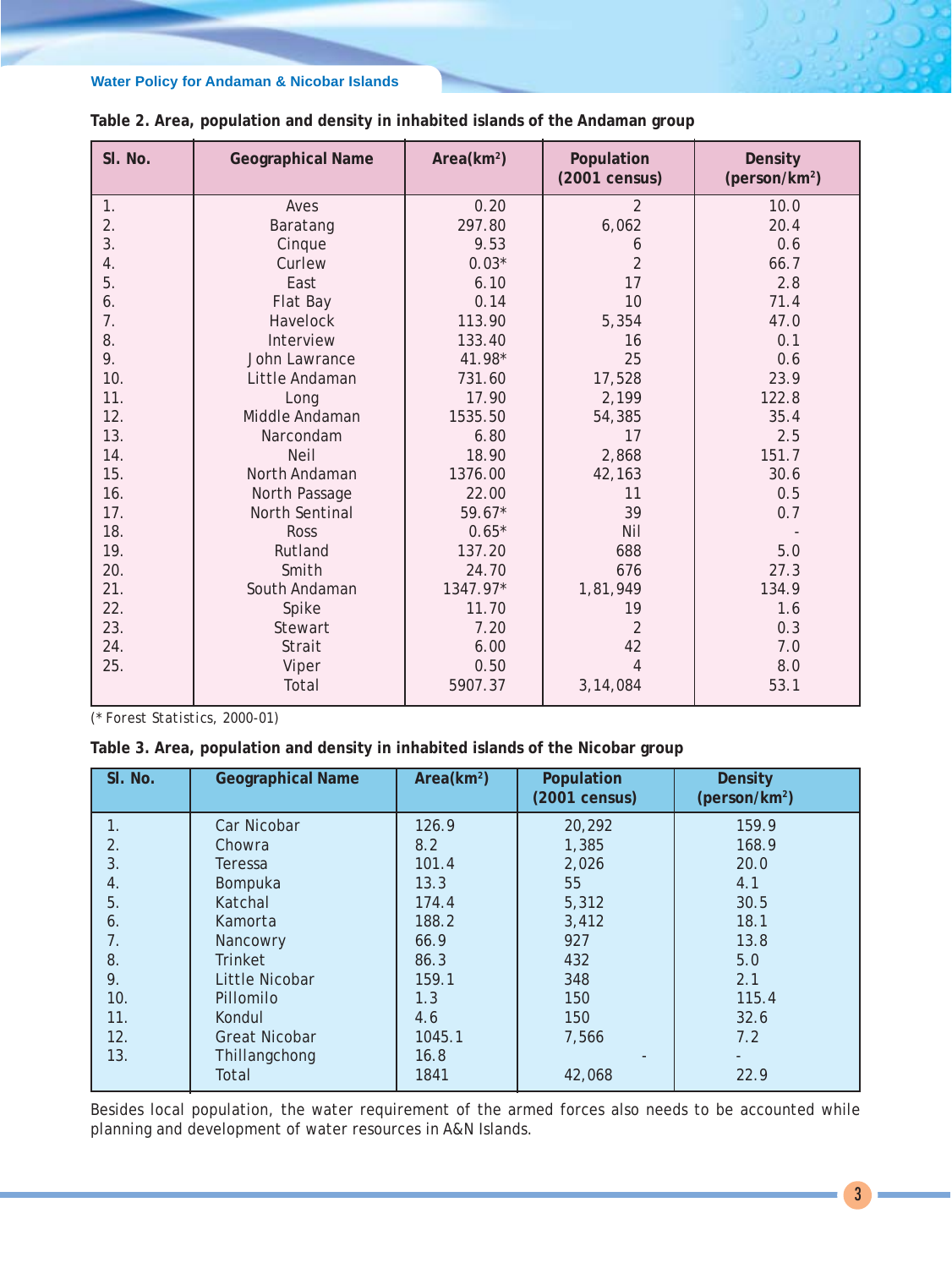| SI. No. | <b>Geographical Name</b> | Area(km <sup>2</sup> ) | Population<br>(2001 census) | <b>Density</b><br>(person/km <sup>2</sup> ) |
|---------|--------------------------|------------------------|-----------------------------|---------------------------------------------|
| 1.      | Aves                     | 0.20                   | $\overline{2}$              | 10.0                                        |
| 2.      | Baratang                 | 297.80                 | 6,062                       | 20.4                                        |
| 3.      | Cinque                   | 9.53                   | 6                           | 0.6                                         |
| 4.      | Curlew                   | $0.03*$                | $\overline{2}$              | 66.7                                        |
| 5.      | East                     | 6.10                   | 17                          | 2.8                                         |
| 6.      | Flat Bay                 | 0.14                   | 10                          | 71.4                                        |
| 7.      | Havelock                 | 113.90                 | 5,354                       | 47.0                                        |
| 8.      | Interview                | 133.40                 | 16                          | 0.1                                         |
| 9.      | John Lawrance            | 41.98*                 | 25                          | 0.6                                         |
| 10.     | Little Andaman           | 731.60                 | 17,528                      | 23.9                                        |
| 11.     | Long                     | 17.90                  | 2,199                       | 122.8                                       |
| 12.     | Middle Andaman           | 1535.50                | 54,385                      | 35.4                                        |
| 13.     | Narcondam                | 6.80                   | 17                          | 2.5                                         |
| 14.     | <b>Neil</b>              | 18.90                  | 2,868                       | 151.7                                       |
| 15.     | North Andaman            | 1376.00                | 42,163                      | 30.6                                        |
| 16.     | North Passage            | 22.00                  | 11                          | 0.5                                         |
| 17.     | North Sentinal           | $59.67*$               | 39                          | 0.7                                         |
| 18.     | <b>Ross</b>              | $0.65*$                | Nil                         |                                             |
| 19.     | Rutland                  | 137.20                 | 688                         | 5.0                                         |
| 20.     | Smith                    | 24.70                  | 676                         | 27.3                                        |
| 21.     | South Andaman            | 1347.97*               | 1,81,949                    | 134.9                                       |
| 22.     | Spike                    | 11.70                  | 19                          | 1.6                                         |
| 23.     | Stewart                  | 7.20                   | $\overline{2}$              | 0.3                                         |
| 24.     | Strait                   | 6.00                   | 42                          | 7.0                                         |
| 25.     | Viper                    | 0.50                   | $\overline{4}$              | 8.0                                         |
|         | Total                    | 5907.37                | 3,14,084                    | 53.1                                        |

# **Table 2. Area, population and density in inhabited islands of the Andaman group**

*(\* Forest Statistics, 2000-01)*

#### **Table 3. Area, population and density in inhabited islands of the Nicobar group**

| SI. No. | <b>Geographical Name</b> | Area(km <sup>2</sup> ) | Population<br>(2001 census) | <b>Density</b><br>( $person/km2$ ) |
|---------|--------------------------|------------------------|-----------------------------|------------------------------------|
| 1.      | Car Nicobar              | 126.9                  | 20,292                      | 159.9                              |
| 2.      | Chowra                   | 8.2                    | 1,385                       | 168.9                              |
| 3.      | Teressa                  | 101.4                  | 2,026                       | 20.0                               |
| 4.      | Bompuka                  | 13.3                   | 55                          | 4.1                                |
| 5.      | Katchal                  | 174.4                  | 5,312                       | 30.5                               |
| 6.      | Kamorta                  | 188.2                  | 3,412                       | 18.1                               |
| 7.      | Nancowry                 | 66.9                   | 927                         | 13.8                               |
| 8.      | <b>Trinket</b>           | 86.3                   | 432                         | 5.0                                |
| 9.      | Little Nicobar           | 159.1                  | 348                         | 2.1                                |
| 10.     | Pillomilo                | 1.3                    | 150                         | 115.4                              |
| 11.     | Kondul                   | 4.6                    | 150                         | 32.6                               |
| 12.     | <b>Great Nicobar</b>     | 1045.1                 | 7,566                       | 7.2                                |
| 13.     | Thillangchong            | 16.8                   |                             |                                    |
|         | Total                    | 1841                   | 42,068                      | 22.9                               |

Besides local population, the water requirement of the armed forces also needs to be accounted while planning and development of water resources in A&N Islands.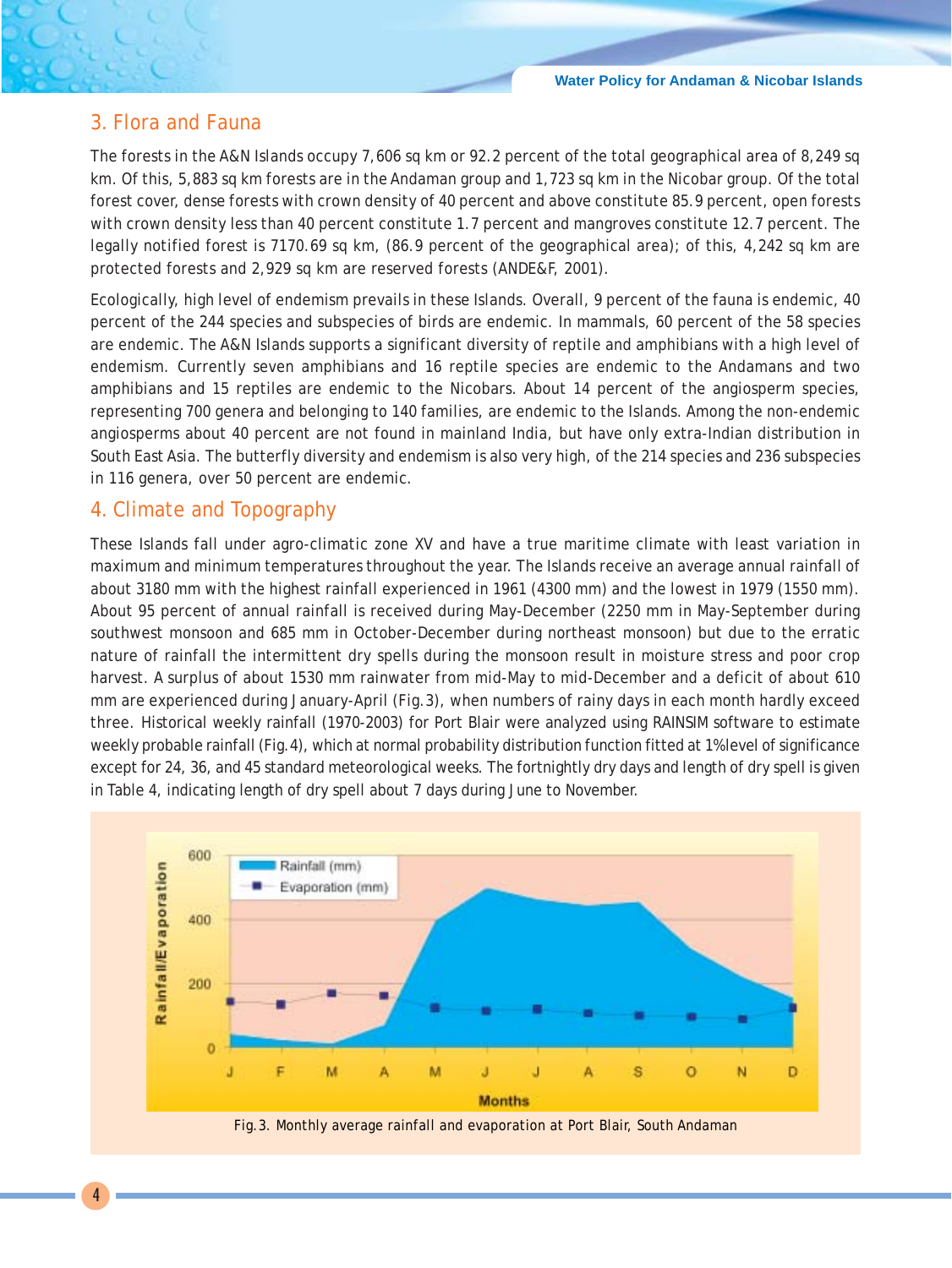# 3. Flora and Fauna

The forests in the A&N Islands occupy 7,606 sq km or 92.2 percent of the total geographical area of 8,249 sq km. Of this, 5,883 sq km forests are in the Andaman group and 1,723 sq km in the Nicobar group. Of the total forest cover, dense forests with crown density of 40 percent and above constitute 85.9 percent, open forests with crown density less than 40 percent constitute 1.7 percent and mangroves constitute 12.7 percent. The legally notified forest is 7170.69 sq km, (86.9 percent of the geographical area); of this, 4,242 sq km are protected forests and 2,929 sq km are reserved forests (ANDE&F, 2001).

Ecologically, high level of endemism prevails in these Islands. Overall, 9 percent of the fauna is endemic, 40 percent of the 244 species and subspecies of birds are endemic. In mammals, 60 percent of the 58 species are endemic. The A&N Islands supports a significant diversity of reptile and amphibians with a high level of endemism. Currently seven amphibians and 16 reptile species are endemic to the Andamans and two amphibians and 15 reptiles are endemic to the Nicobars. About 14 percent of the angiosperm species, representing 700 genera and belonging to 140 families, are endemic to the Islands. Among the non-endemic angiosperms about 40 percent are not found in mainland India, but have only extra-Indian distribution in South East Asia. The butterfly diversity and endemism is also very high, of the 214 species and 236 subspecies in 116 genera, over 50 percent are endemic.

# 4. Climate and Topography

These Islands fall under agro-climatic zone XV and have a true maritime climate with least variation in maximum and minimum temperatures throughout the year. The Islands receive an average annual rainfall of about 3180 mm with the highest rainfall experienced in 1961 (4300 mm) and the lowest in 1979 (1550 mm). About 95 percent of annual rainfall is received during May-December (2250 mm in May-September during southwest monsoon and 685 mm in October-December during northeast monsoon) but due to the erratic nature of rainfall the intermittent dry spells during the monsoon result in moisture stress and poor crop harvest. A surplus of about 1530 mm rainwater from mid-May to mid-December and a deficit of about 610 mm are experienced during January-April (Fig.3), when numbers of rainy days in each month hardly exceed three. Historical weekly rainfall (1970-2003) for Port Blair were analyzed using RAINSIM software to estimate weekly probable rainfall (Fig.4), which at normal probability distribution function fitted at 1% level of significance except for 24, 36, and 45 standard meteorological weeks. The fortnightly dry days and length of dry spell is given in Table 4, indicating length of dry spell about 7 days during June to November.

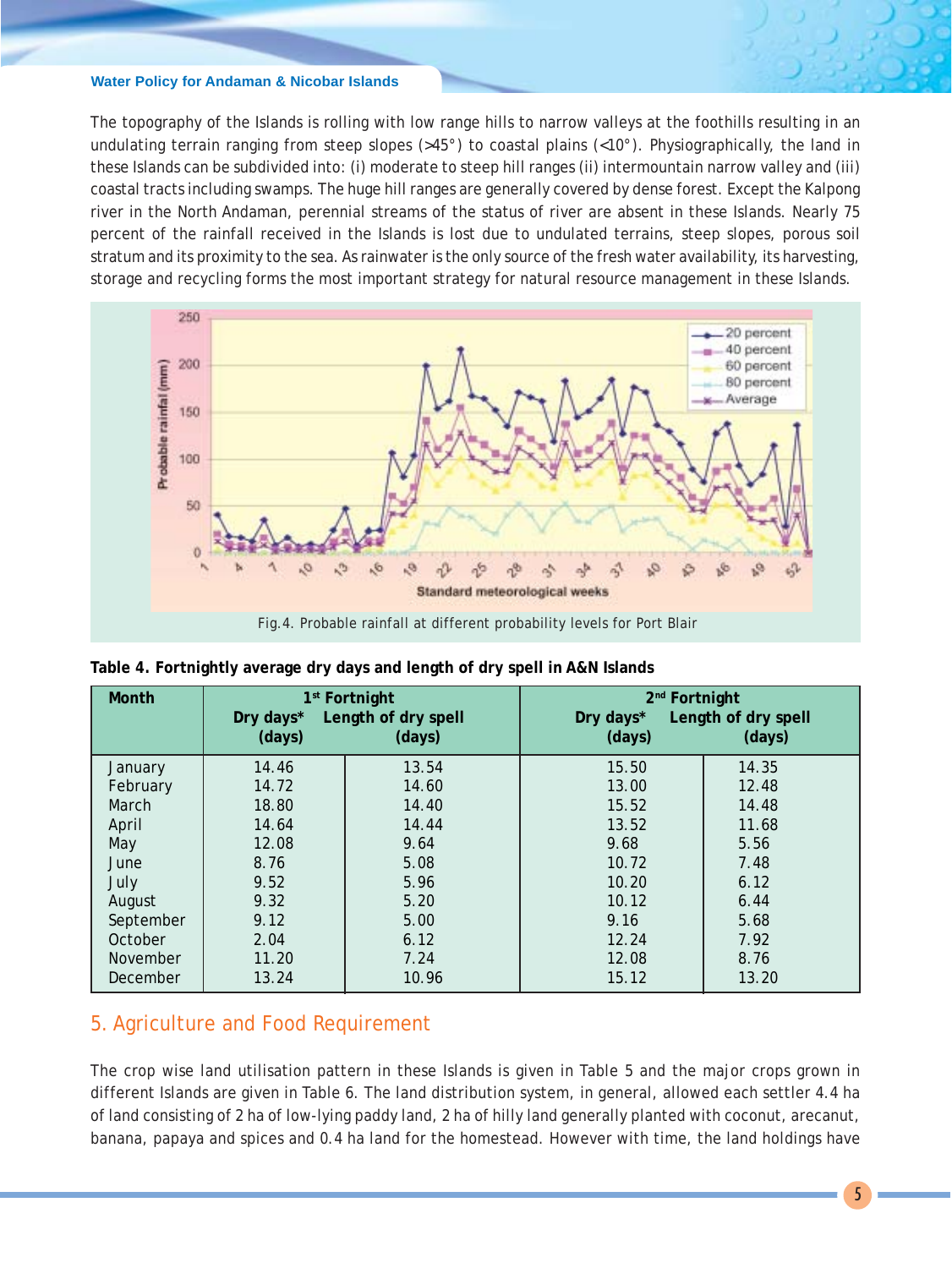The topography of the Islands is rolling with low range hills to narrow valleys at the foothills resulting in an undulating terrain ranging from steep slopes (>45°) to coastal plains (<10°). Physiographically, the land in these Islands can be subdivided into: (i) moderate to steep hill ranges (ii) intermountain narrow valley and (iii) coastal tracts including swamps. The huge hill ranges are generally covered by dense forest. Except the Kalpong river in the North Andaman, perennial streams of the status of river are absent in these Islands. Nearly 75 percent of the rainfall received in the Islands is lost due to undulated terrains, steep slopes, porous soil stratum and its proximity to the sea. As rainwater is the only source of the fresh water availability, its harvesting, storage and recycling forms the most important strategy for natural resource management in these Islands.



| Month     | 1 <sup>st</sup> Fortnight<br>Length of dry spell<br>Dry days*<br>(days)<br>(days) |       | 2 <sup>nd</sup> Fortnight<br>Length of dry spell<br>Dry days*<br>(days)<br>(days) |       |  |
|-----------|-----------------------------------------------------------------------------------|-------|-----------------------------------------------------------------------------------|-------|--|
| January   | 14.46                                                                             | 13.54 | 15.50                                                                             | 14.35 |  |
| February  | 14.72                                                                             | 14.60 | 13.00                                                                             | 12.48 |  |
| March     | 18.80                                                                             | 14.40 | 15.52                                                                             | 14.48 |  |
| April     | 14.64                                                                             | 14.44 | 13.52                                                                             | 11.68 |  |
| May       | 12.08                                                                             | 9.64  | 9.68                                                                              | 5.56  |  |
| June      | 8.76                                                                              | 5.08  | 10.72                                                                             | 7.48  |  |
| July      | 9.52                                                                              | 5.96  | 10.20                                                                             | 6.12  |  |
| August    | 9.32                                                                              | 5.20  | 10.12                                                                             | 6.44  |  |
| September | 9.12                                                                              | 5.00  | 9.16                                                                              | 5.68  |  |
| October   | 2.04                                                                              | 6.12  | 12.24                                                                             | 7.92  |  |
| November  | 11.20                                                                             | 7.24  | 12.08                                                                             | 8.76  |  |
| December  | 13.24                                                                             | 10.96 | 15.12                                                                             | 13.20 |  |

**Table 4. Fortnightly average dry days and length of dry spell in A&N Islands**

# 5. Agriculture and Food Requirement

The crop wise land utilisation pattern in these Islands is given in Table 5 and the major crops grown in different Islands are given in Table 6. The land distribution system, in general, allowed each settler 4.4 ha of land consisting of 2 ha of low-lying paddy land, 2 ha of hilly land generally planted with coconut, arecanut, banana, papaya and spices and 0.4 ha land for the homestead. However with time, the land holdings have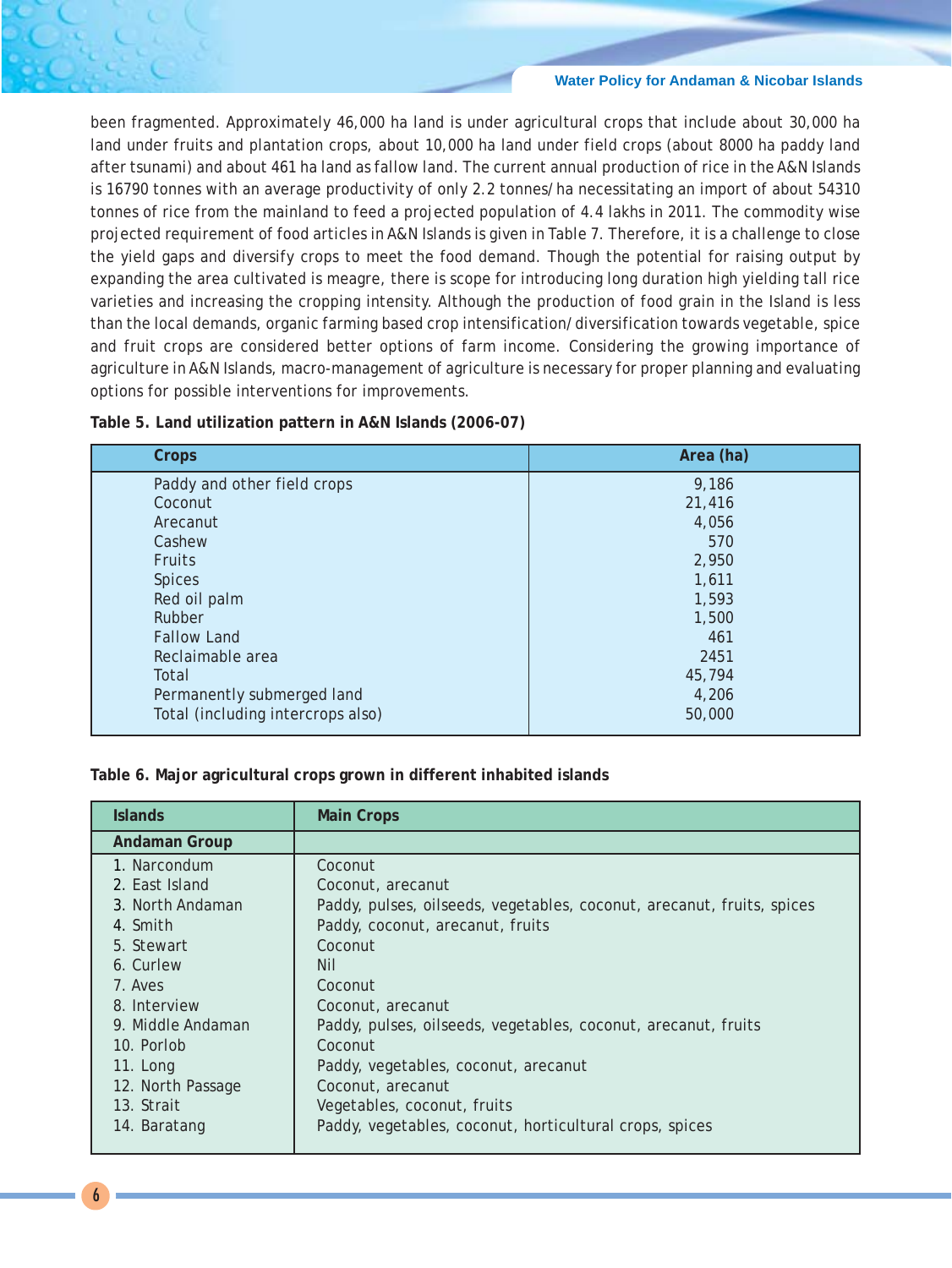been fragmented. Approximately 46,000 ha land is under agricultural crops that include about 30,000 ha land under fruits and plantation crops, about 10,000 ha land under field crops (about 8000 ha paddy land after tsunami) and about 461 ha land as fallow land. The current annual production of rice in the A&N Islands is 16790 tonnes with an average productivity of only 2.2 tonnes/ha necessitating an import of about 54310 tonnes of rice from the mainland to feed a projected population of 4.4 lakhs in 2011. The commodity wise projected requirement of food articles in A&N Islands is given in Table 7. Therefore, it is a challenge to close the yield gaps and diversify crops to meet the food demand. Though the potential for raising output by expanding the area cultivated is meagre, there is scope for introducing long duration high yielding tall rice varieties and increasing the cropping intensity. Although the production of food grain in the Island is less than the local demands, organic farming based crop intensification/diversification towards vegetable, spice and fruit crops are considered better options of farm income. Considering the growing importance of agriculture in A&N Islands, macro-management of agriculture is necessary for proper planning and evaluating options for possible interventions for improvements.

**Table 5. Land utilization pattern in A&N Islands (2006-07)**

| Crops                             | Area (ha) |
|-----------------------------------|-----------|
| Paddy and other field crops       | 9,186     |
| Coconut                           | 21,416    |
| Arecanut                          | 4,056     |
| Cashew                            | 570       |
| <b>Fruits</b>                     | 2,950     |
| <b>Spices</b>                     | 1,611     |
| Red oil palm                      | 1,593     |
| Rubber                            | 1,500     |
| <b>Fallow Land</b>                | 461       |
| Reclaimable area                  | 2451      |
| Total                             | 45,794    |
| Permanently submerged land        | 4,206     |
| Total (including intercrops also) | 50,000    |

**Table 6. Major agricultural crops grown in different inhabited islands**

| <b>Islands</b>       | <b>Main Crops</b>                                                      |
|----------------------|------------------------------------------------------------------------|
| <b>Andaman Group</b> |                                                                        |
| 1. Narcondum         | Coconut                                                                |
| 2. East Island       | Coconut, arecanut                                                      |
| 3. North Andaman     | Paddy, pulses, oilseeds, vegetables, coconut, arecanut, fruits, spices |
| 4. Smith             | Paddy, coconut, arecanut, fruits                                       |
| 5. Stewart           | Coconut                                                                |
| 6. Curlew            | <b>Nil</b>                                                             |
| 7. Aves              | Coconut                                                                |
| 8. Interview         | Coconut, arecanut                                                      |
| 9. Middle Andaman    | Paddy, pulses, oilseeds, vegetables, coconut, arecanut, fruits         |
| 10. Porlob           | Coconut                                                                |
| 11. Long             | Paddy, vegetables, coconut, arecanut                                   |
| 12. North Passage    | Coconut, arecanut                                                      |
| 13. Strait           | Vegetables, coconut, fruits                                            |
| 14. Baratang         | Paddy, vegetables, coconut, horticultural crops, spices                |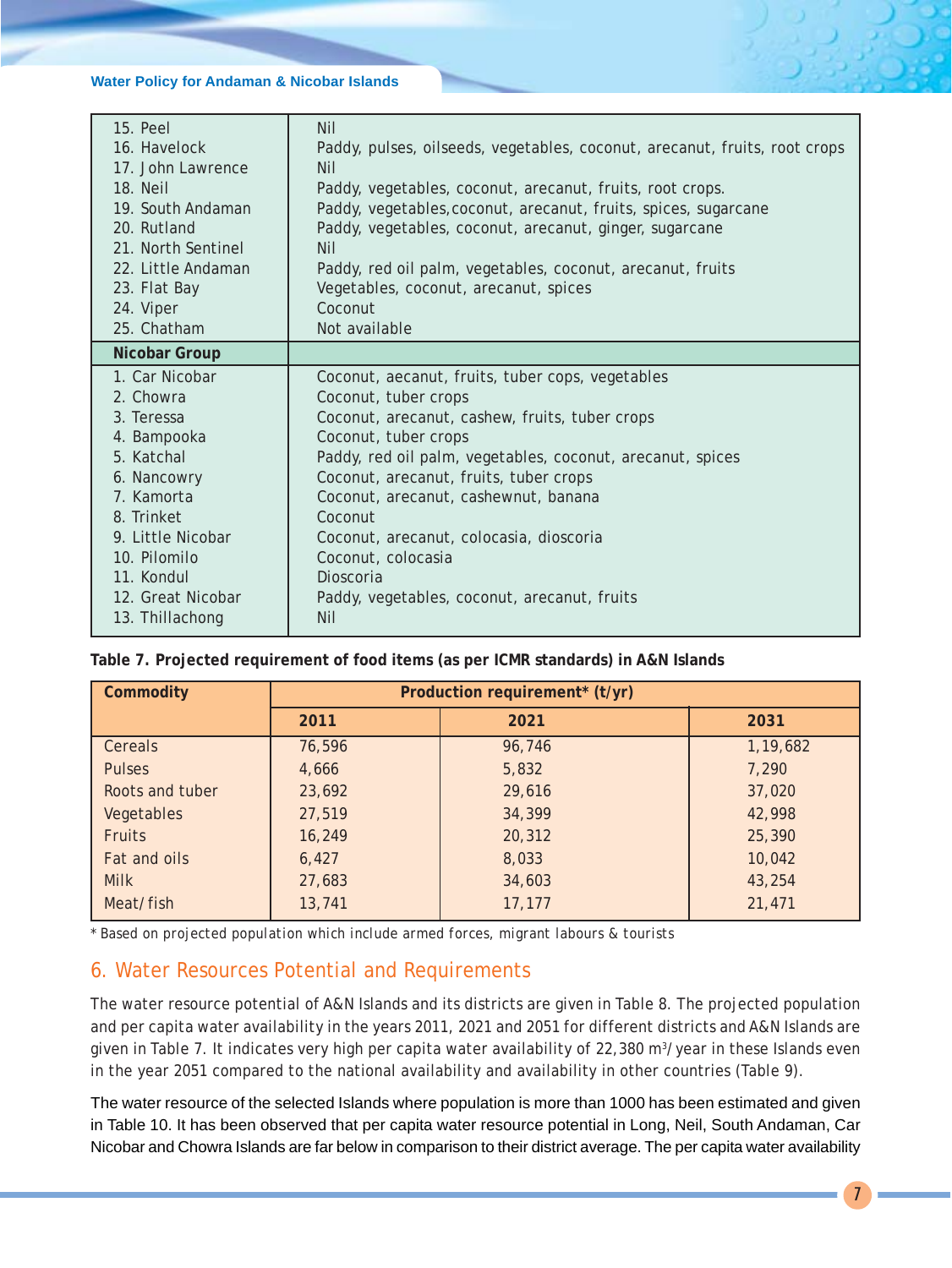| 15. Peel           | <b>Nil</b>                                                                 |
|--------------------|----------------------------------------------------------------------------|
| 16. Havelock       | Paddy, pulses, oilseeds, vegetables, coconut, arecanut, fruits, root crops |
| 17. John Lawrence  | <b>Nil</b>                                                                 |
| 18. Neil           | Paddy, vegetables, coconut, arecanut, fruits, root crops.                  |
| 19. South Andaman  | Paddy, vegetables, coconut, arecanut, fruits, spices, sugarcane            |
| 20. Rutland        | Paddy, vegetables, coconut, arecanut, ginger, sugarcane                    |
| 21. North Sentinel | <b>Nil</b>                                                                 |
| 22. Little Andaman | Paddy, red oil palm, vegetables, coconut, arecanut, fruits                 |
| 23. Flat Bay       | Vegetables, coconut, arecanut, spices                                      |
| 24. Viper          | Coconut                                                                    |
| 25. Chatham        | Not available                                                              |
| Nicobar Group      |                                                                            |
| 1. Car Nicobar     | Coconut, aecanut, fruits, tuber cops, vegetables                           |
|                    |                                                                            |
| 2. Chowra          | Coconut, tuber crops                                                       |
| 3. Teressa         | Coconut, arecanut, cashew, fruits, tuber crops                             |
| 4. Bampooka        | Coconut, tuber crops                                                       |
| 5. Katchal         | Paddy, red oil palm, vegetables, coconut, arecanut, spices                 |
| 6. Nancowry        | Coconut, arecanut, fruits, tuber crops                                     |
| 7. Kamorta         | Coconut, arecanut, cashewnut, banana                                       |
| 8. Trinket         | Coconut                                                                    |
| 9. Little Nicobar  | Coconut, arecanut, colocasia, dioscoria                                    |
| 10. Pilomilo       | Coconut, colocasia                                                         |
| 11. Kondul         | Dioscoria                                                                  |
| 12. Great Nicobar  | Paddy, vegetables, coconut, arecanut, fruits                               |

**Table 7. Projected requirement of food items (as per ICMR standards) in A&N Islands**

| Commodity       | Production requirement* (t/yr) |        |          |  |  |  |
|-----------------|--------------------------------|--------|----------|--|--|--|
|                 | 2011                           | 2021   | 2031     |  |  |  |
| Cereals         | 76,596                         | 96,746 | 1,19,682 |  |  |  |
| <b>Pulses</b>   | 4,666                          | 5,832  | 7,290    |  |  |  |
| Roots and tuber | 23,692                         | 29,616 | 37,020   |  |  |  |
| Vegetables      | 27,519                         | 34,399 | 42,998   |  |  |  |
| <b>Fruits</b>   | 16,249                         | 20,312 | 25,390   |  |  |  |
| Fat and oils    | 6,427                          | 8,033  | 10,042   |  |  |  |
| <b>Milk</b>     | 27,683                         | 34,603 | 43,254   |  |  |  |
| Meat/fish       | 13,741                         | 17,177 | 21,471   |  |  |  |

*\* Based on projected population which include armed forces, migrant labours & tourists*

# 6. Water Resources Potential and Requirements

The water resource potential of A&N Islands and its districts are given in Table 8. The projected population and per capita water availability in the years 2011, 2021 and 2051 for different districts and A&N Islands are given in Table 7. It indicates very high per capita water availability of 22,380 m<sup>3</sup>/year in these Islands even in the year 2051 compared to the national availability and availability in other countries (Table 9).

The water resource of the selected Islands where population is more than 1000 has been estimated and given in Table 10. It has been observed that per capita water resource potential in Long, Neil, South Andaman, Car Nicobar and Chowra Islands are far below in comparison to their district average. The per capita water availability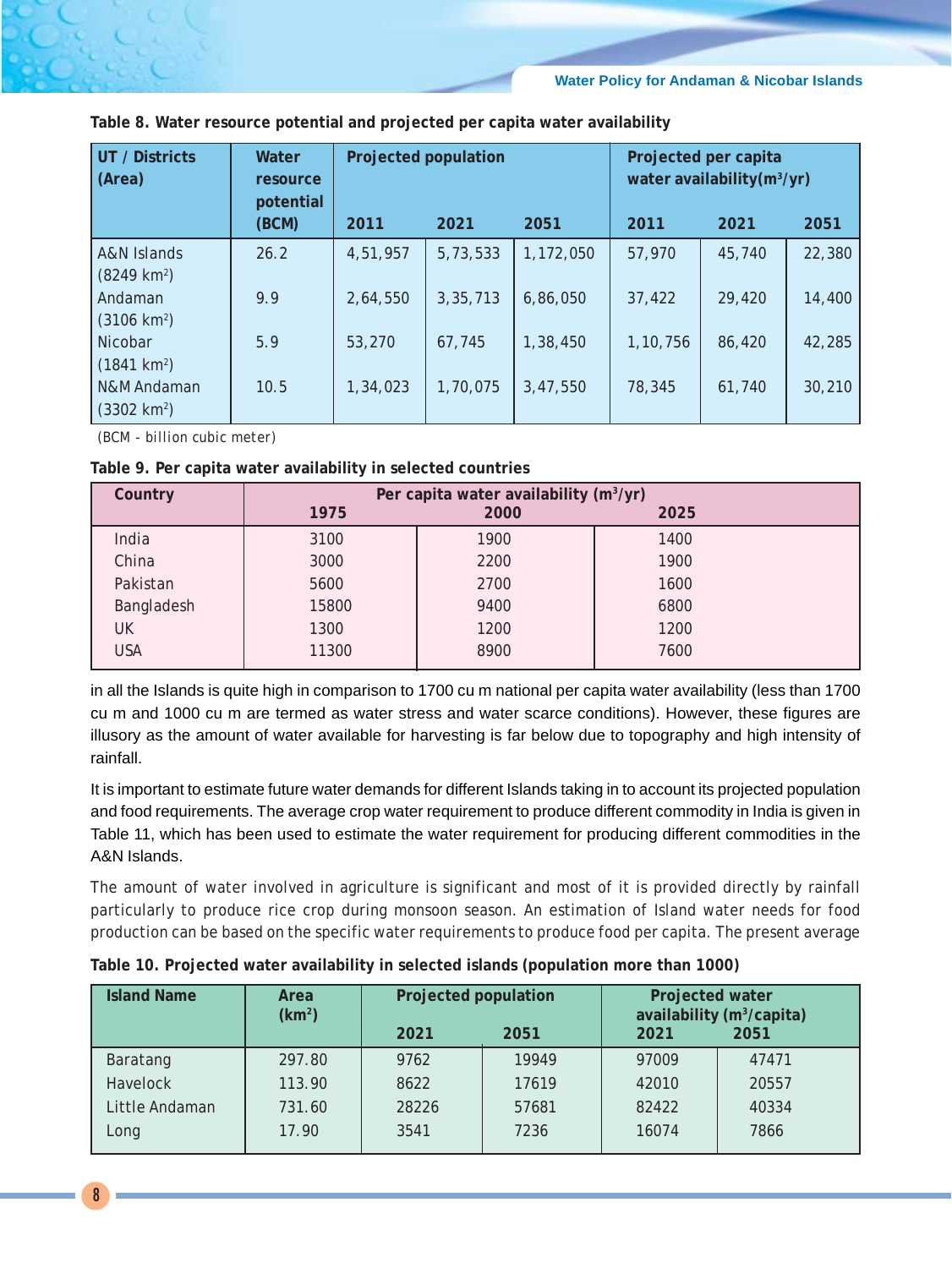| UT / Districts<br>(Area)             | Water<br>resource<br>potential | Projected population |          |           |          | Projected per capita<br>water availability (m <sup>3</sup> /yr) |        |
|--------------------------------------|--------------------------------|----------------------|----------|-----------|----------|-----------------------------------------------------------------|--------|
|                                      | (BCM)                          | 2011                 | 2021     | 2051      | 2011     | 2021                                                            | 2051   |
| A&N Islands<br>$(8249 \text{ km}^2)$ | 26.2                           | 4,51,957             | 5,73,533 | 1,172,050 | 57,970   | 45,740                                                          | 22,380 |
| Andaman<br>$(3106 \text{ km}^2)$     | 9.9                            | 2,64,550             | 3,35,713 | 6,86,050  | 37,422   | 29,420                                                          | 14,400 |
| Nicobar<br>$(1841 \text{ km}^2)$     | 5.9                            | 53,270               | 67,745   | 1,38,450  | 1,10,756 | 86,420                                                          | 42,285 |
| N&M Andaman<br>$(3302 \text{ km}^2)$ | 10.5                           | 1,34,023             | 1,70,075 | 3,47,550  | 78,345   | 61,740                                                          | 30,210 |

**Table 8. Water resource potential and projected per capita water availability**

*(BCM - billion cubic meter)*

| Table 9. Per capita water availability in selected countries |  |  |  |  |
|--------------------------------------------------------------|--|--|--|--|
|--------------------------------------------------------------|--|--|--|--|

| Country    | Per capita water availability (m <sup>3</sup> /yr) |      |      |  |  |
|------------|----------------------------------------------------|------|------|--|--|
|            | 1975                                               | 2000 | 2025 |  |  |
| India      | 3100                                               | 1900 | 1400 |  |  |
| China      | 3000                                               | 2200 | 1900 |  |  |
| Pakistan   | 5600                                               | 2700 | 1600 |  |  |
| Bangladesh | 15800                                              | 9400 | 6800 |  |  |
| UK         | 1300                                               | 1200 | 1200 |  |  |
| USA        | 11300                                              | 8900 | 7600 |  |  |

in all the Islands is quite high in comparison to 1700 cu m national per capita water availability (less than 1700 cu m and 1000 cu m are termed as water stress and water scarce conditions). However, these figures are illusory as the amount of water available for harvesting is far below due to topography and high intensity of rainfall.

It is important to estimate future water demands for different Islands taking in to account its projected population and food requirements. The average crop water requirement to produce different commodity in India is given in Table 11, which has been used to estimate the water requirement for producing different commodities in the A&N Islands.

The amount of water involved in agriculture is significant and most of it is provided directly by rainfall particularly to produce rice crop during monsoon season. An estimation of Island water needs for food production can be based on the specific water requirements to produce food per capita. The present average

| <b>Island Name</b> | Area<br>(km <sup>2</sup> ) | Projected population |       | Projected water<br>availability (m <sup>3</sup> /capita) |       |
|--------------------|----------------------------|----------------------|-------|----------------------------------------------------------|-------|
|                    |                            | 2021                 | 2051  | 2021                                                     | 2051  |
| Baratang           | 297.80                     | 9762                 | 19949 | 97009                                                    | 47471 |
| <b>Havelock</b>    | 113.90                     | 8622                 | 17619 | 42010                                                    | 20557 |
| Little Andaman     | 731.60                     | 28226                | 57681 | 82422                                                    | 40334 |
| Long               | 17.90                      | 3541                 | 7236  | 16074                                                    | 7866  |

**Table 10. Projected water availability in selected islands (population more than 1000)**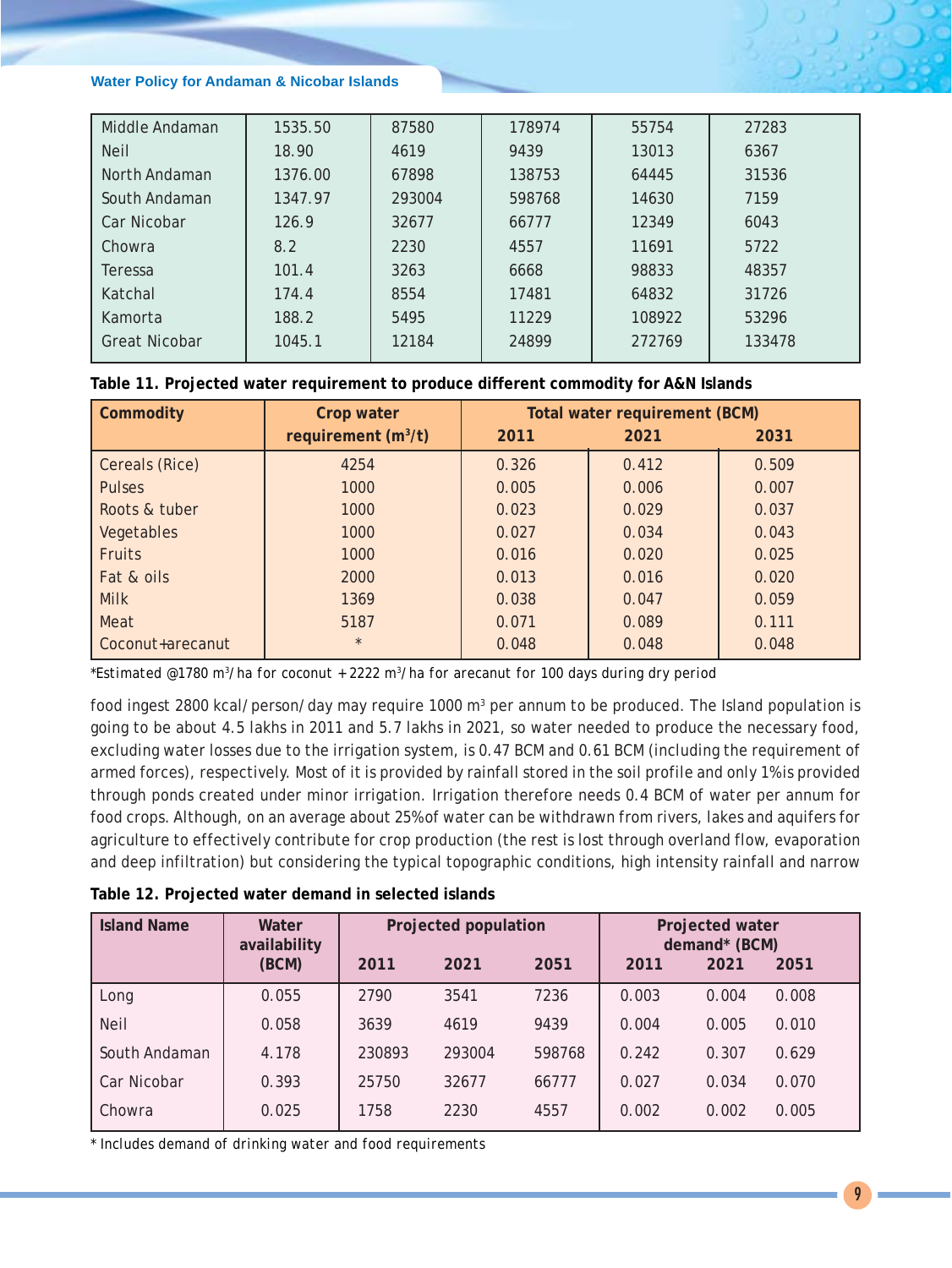| Middle Andaman       | 1535.50 | 87580  | 178974 | 55754  | 27283  |
|----------------------|---------|--------|--------|--------|--------|
| <b>Neil</b>          | 18.90   | 4619   | 9439   | 13013  | 6367   |
| North Andaman        | 1376.00 | 67898  | 138753 | 64445  | 31536  |
| South Andaman        | 1347.97 | 293004 | 598768 | 14630  | 7159   |
| Car Nicobar          | 126.9   | 32677  | 66777  | 12349  | 6043   |
| Chowra               | 8.2     | 2230   | 4557   | 11691  | 5722   |
| Teressa              | 101.4   | 3263   | 6668   | 98833  | 48357  |
| Katchal              | 174.4   | 8554   | 17481  | 64832  | 31726  |
| Kamorta              | 188.2   | 5495   | 11229  | 108922 | 53296  |
| <b>Great Nicobar</b> | 1045.1  | 12184  | 24899  | 272769 | 133478 |

|  |  |  |  | Table 11. Projected water requirement to produce different commodity for A&N Islands |  |
|--|--|--|--|--------------------------------------------------------------------------------------|--|
|--|--|--|--|--------------------------------------------------------------------------------------|--|

| <b>Commodity</b> | Crop water            | Total water requirement (BCM) |       |       |  |  |
|------------------|-----------------------|-------------------------------|-------|-------|--|--|
|                  | requirement $(m^3/t)$ | 2011                          | 2021  | 2031  |  |  |
| Cereals (Rice)   | 4254                  | 0.326                         | 0.412 | 0.509 |  |  |
| <b>Pulses</b>    | 1000                  | 0.005                         | 0.006 | 0.007 |  |  |
| Roots & tuber    | 1000                  | 0.023                         | 0.029 | 0.037 |  |  |
| Vegetables       | 1000                  | 0.027                         | 0.034 | 0.043 |  |  |
| <b>Fruits</b>    | 1000                  | 0.016                         | 0.020 | 0.025 |  |  |
| Fat & oils       | 2000                  | 0.013                         | 0.016 | 0.020 |  |  |
| <b>Milk</b>      | 1369                  | 0.038                         | 0.047 | 0.059 |  |  |
| Meat             | 5187                  | 0.071                         | 0.089 | 0.111 |  |  |
| Coconut+arecanut | $\star$               | 0.048                         | 0.048 | 0.048 |  |  |

*\*Estimated @1780 m3 /ha for coconut + 2222 m3 /ha for arecanut for 100 days during dry period*

food ingest 2800 kcal/person/day may require 1000 m<sup>3</sup> per annum to be produced. The Island population is going to be about 4.5 lakhs in 2011 and 5.7 lakhs in 2021, so water needed to produce the necessary food, excluding water losses due to the irrigation system, is 0.47 BCM and 0.61 BCM (including the requirement of armed forces), respectively. Most of it is provided by rainfall stored in the soil profile and only 1% is provided through ponds created under minor irrigation. Irrigation therefore needs 0.4 BCM of water per annum for food crops. Although, on an average about 25% of water can be withdrawn from rivers, lakes and aquifers for agriculture to effectively contribute for crop production (the rest is lost through overland flow, evaporation and deep infiltration) but considering the typical topographic conditions, high intensity rainfall and narrow

| <b>Island Name</b> | Water<br>availability |        | Projected population |        |       | Projected water<br>demand* (BCM) |       |
|--------------------|-----------------------|--------|----------------------|--------|-------|----------------------------------|-------|
|                    | (BCM)                 | 2011   | 2021                 | 2051   | 2011  | 2021                             | 2051  |
| Long               | 0.055                 | 2790   | 3541                 | 7236   | 0.003 | 0.004                            | 0.008 |
| <b>Neil</b>        | 0.058                 | 3639   | 4619                 | 9439   | 0.004 | 0.005                            | 0.010 |
| South Andaman      | 4.178                 | 230893 | 293004               | 598768 | 0.242 | 0.307                            | 0.629 |
| Car Nicobar        | 0.393                 | 25750  | 32677                | 66777  | 0.027 | 0.034                            | 0.070 |
| Chowra             | 0.025                 | 1758   | 2230                 | 4557   | 0.002 | 0.002                            | 0.005 |

*\* Includes demand of drinking water and food requirements*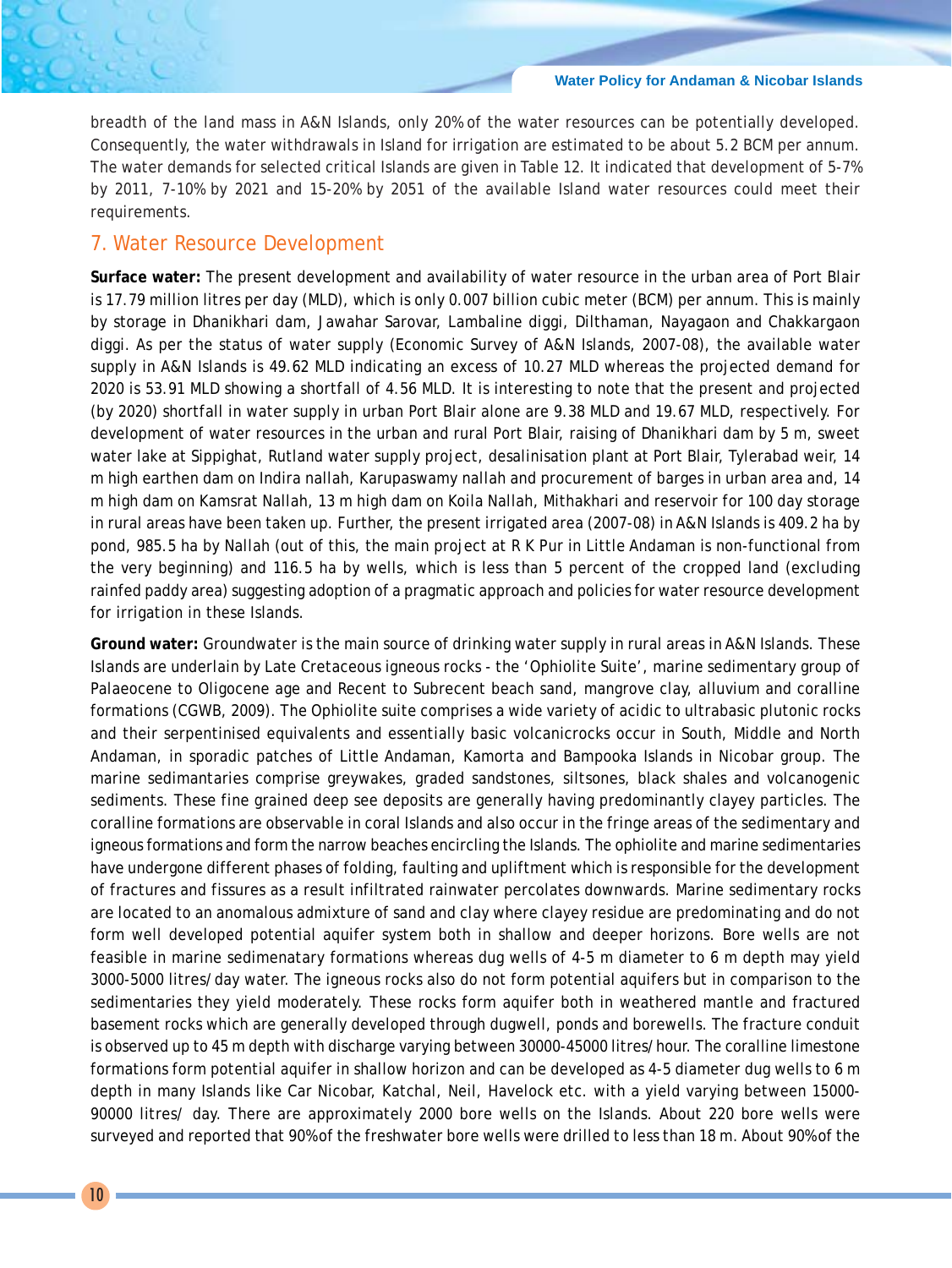breadth of the land mass in A&N Islands, only 20% of the water resources can be potentially developed. Consequently, the water withdrawals in Island for irrigation are estimated to be about 5.2 BCM per annum. The water demands for selected critical Islands are given in Table 12. It indicated that development of 5-7% by 2011, 7-10% by 2021 and 15-20% by 2051 of the available Island water resources could meet their requirements.

### 7. Water Resource Development

**Surface water:** The present development and availability of water resource in the urban area of Port Blair is 17.79 million litres per day (MLD), which is only 0.007 billion cubic meter (BCM) per annum. This is mainly by storage in Dhanikhari dam, Jawahar Sarovar, Lambaline diggi, Dilthaman, Nayagaon and Chakkargaon diggi. As per the status of water supply (Economic Survey of A&N Islands, 2007-08), the available water supply in A&N Islands is 49.62 MLD indicating an excess of 10.27 MLD whereas the projected demand for 2020 is 53.91 MLD showing a shortfall of 4.56 MLD. It is interesting to note that the present and projected (by 2020) shortfall in water supply in urban Port Blair alone are 9.38 MLD and 19.67 MLD, respectively. For development of water resources in the urban and rural Port Blair, raising of Dhanikhari dam by 5 m, sweet water lake at Sippighat, Rutland water supply project, desalinisation plant at Port Blair, Tylerabad weir, 14 m high earthen dam on Indira nallah, Karupaswamy nallah and procurement of barges in urban area and, 14 m high dam on Kamsrat Nallah, 13 m high dam on Koila Nallah, Mithakhari and reservoir for 100 day storage in rural areas have been taken up. Further, the present irrigated area (2007-08) in A&N Islands is 409.2 ha by pond, 985.5 ha by Nallah (out of this, the main project at R K Pur in Little Andaman is non-functional from the very beginning) and 116.5 ha by wells, which is less than 5 percent of the cropped land (excluding rainfed paddy area) suggesting adoption of a pragmatic approach and policies for water resource development for irrigation in these Islands.

**Ground water:** Groundwater is the main source of drinking water supply in rural areas in A&N Islands. These Islands are underlain by Late Cretaceous igneous rocks - the 'Ophiolite Suite', marine sedimentary group of Palaeocene to Oligocene age and Recent to Subrecent beach sand, mangrove clay, alluvium and coralline formations (CGWB, 2009). The Ophiolite suite comprises a wide variety of acidic to ultrabasic plutonic rocks and their serpentinised equivalents and essentially basic volcanicrocks occur in South, Middle and North Andaman, in sporadic patches of Little Andaman, Kamorta and Bampooka Islands in Nicobar group. The marine sedimantaries comprise greywakes, graded sandstones, siltsones, black shales and volcanogenic sediments. These fine grained deep see deposits are generally having predominantly clayey particles. The coralline formations are observable in coral Islands and also occur in the fringe areas of the sedimentary and igneous formations and form the narrow beaches encircling the Islands. The ophiolite and marine sedimentaries have undergone different phases of folding, faulting and upliftment which is responsible for the development of fractures and fissures as a result infiltrated rainwater percolates downwards. Marine sedimentary rocks are located to an anomalous admixture of sand and clay where clayey residue are predominating and do not form well developed potential aquifer system both in shallow and deeper horizons. Bore wells are not feasible in marine sedimenatary formations whereas dug wells of 4-5 m diameter to 6 m depth may yield 3000-5000 litres/day water. The igneous rocks also do not form potential aquifers but in comparison to the sedimentaries they yield moderately. These rocks form aquifer both in weathered mantle and fractured basement rocks which are generally developed through dugwell, ponds and borewells. The fracture conduit is observed up to 45 m depth with discharge varying between 30000-45000 litres/hour. The coralline limestone formations form potential aquifer in shallow horizon and can be developed as 4-5 diameter dug wells to 6 m depth in many Islands like Car Nicobar, Katchal, Neil, Havelock etc. with a yield varying between 15000- 90000 litres/ day. There are approximately 2000 bore wells on the Islands. About 220 bore wells were surveyed and reported that 90% of the freshwater bore wells were drilled to less than 18 m. About 90% of the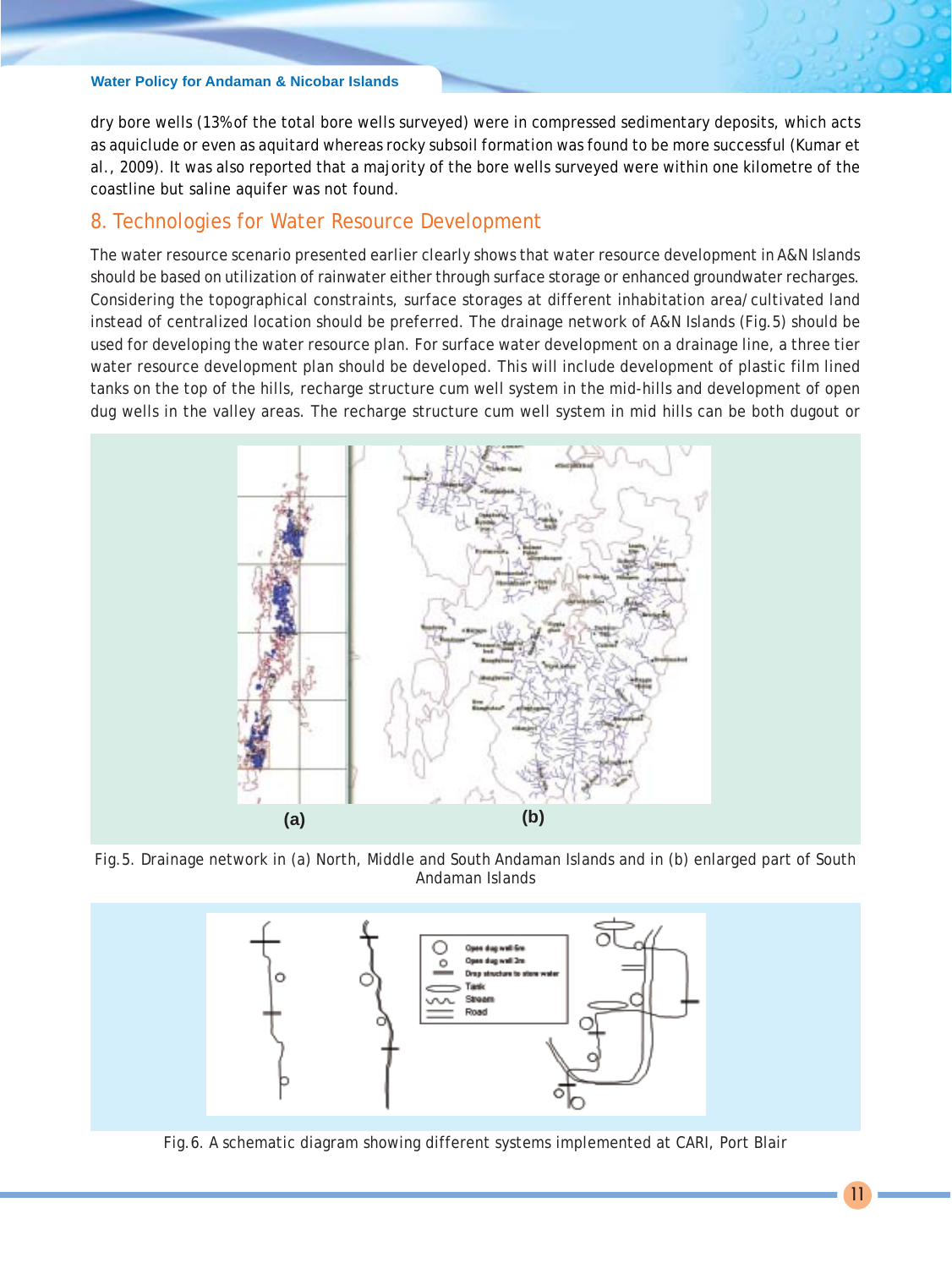dry bore wells (13% of the total bore wells surveyed) were in compressed sedimentary deposits, which acts as aquiclude or even as aquitard whereas rocky subsoil formation was found to be more successful (Kumar et al., 2009). It was also reported that a majority of the bore wells surveyed were within one kilometre of the coastline but saline aquifer was not found.

# 8. Technologies for Water Resource Development

The water resource scenario presented earlier clearly shows that water resource development in A&N Islands should be based on utilization of rainwater either through surface storage or enhanced groundwater recharges. Considering the topographical constraints, surface storages at different inhabitation area/cultivated land instead of centralized location should be preferred. The drainage network of A&N Islands (Fig.5) should be used for developing the water resource plan. For surface water development on a drainage line, a three tier water resource development plan should be developed. This will include development of plastic film lined tanks on the top of the hills, recharge structure cum well system in the mid-hills and development of open dug wells in the valley areas. The recharge structure cum well system in mid hills can be both dugout or



Fig.5. Drainage network in (a) North, Middle and South Andaman Islands and in (b) enlarged part of South Andaman Islands



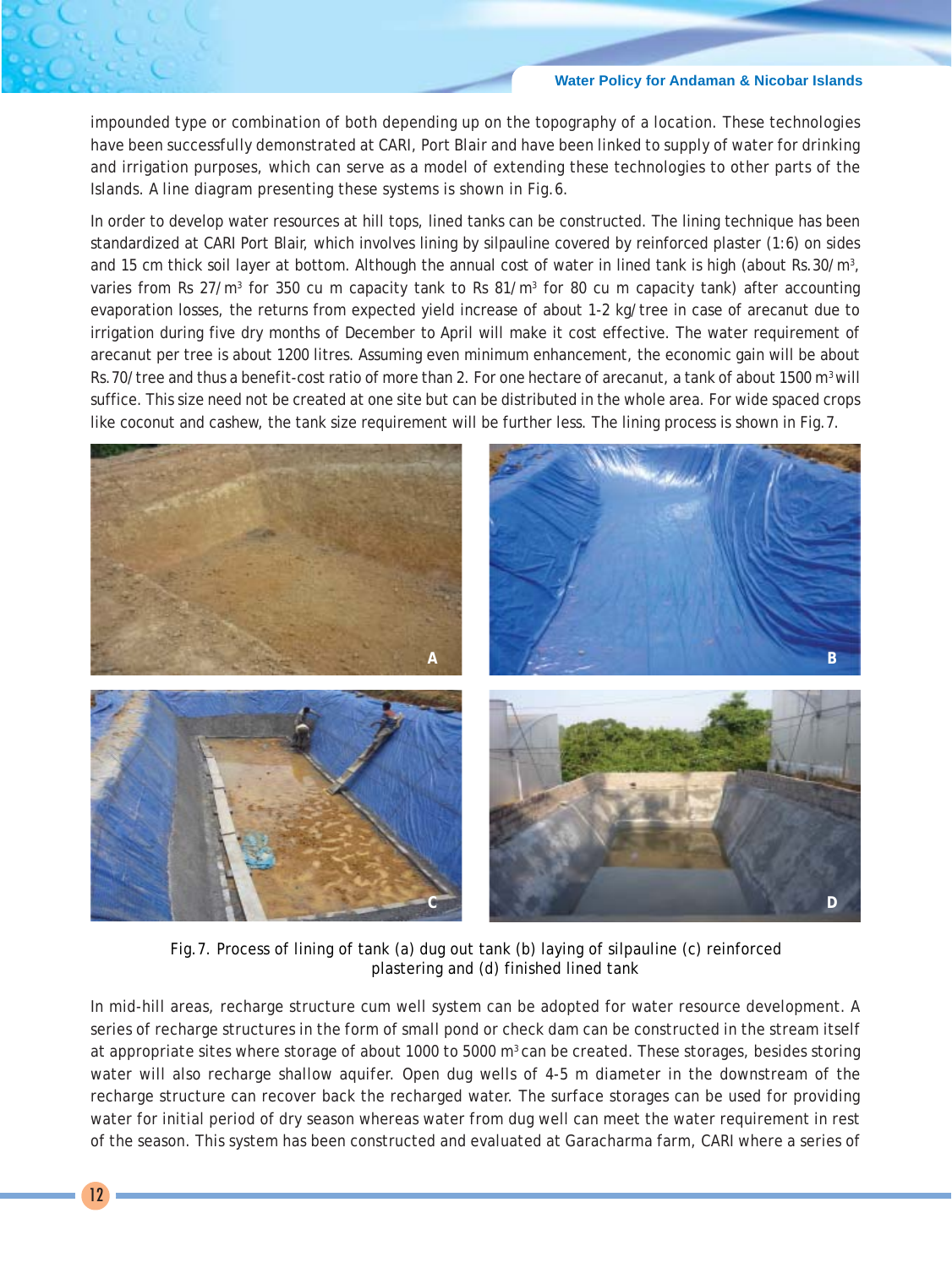impounded type or combination of both depending up on the topography of a location. These technologies have been successfully demonstrated at CARI, Port Blair and have been linked to supply of water for drinking and irrigation purposes, which can serve as a model of extending these technologies to other parts of the Islands. A line diagram presenting these systems is shown in Fig.6.

In order to develop water resources at hill tops, lined tanks can be constructed. The lining technique has been standardized at CARI Port Blair, which involves lining by silpauline covered by reinforced plaster (1:6) on sides and 15 cm thick soil layer at bottom. Although the annual cost of water in lined tank is high (about Rs.30/m<sup>3</sup>, varies from Rs 27/m<sup>3</sup> for 350 cu m capacity tank to Rs 81/m<sup>3</sup> for 80 cu m capacity tank) after accounting evaporation losses, the returns from expected yield increase of about 1-2 kg/tree in case of arecanut due to irrigation during five dry months of December to April will make it cost effective. The water requirement of arecanut per tree is about 1200 litres. Assuming even minimum enhancement, the economic gain will be about Rs.70/tree and thus a benefit-cost ratio of more than 2. For one hectare of arecanut, a tank of about 1500 m<sup>3</sup> will suffice. This size need not be created at one site but can be distributed in the whole area. For wide spaced crops like coconut and cashew, the tank size requirement will be further less. The lining process is shown in Fig.7.



Fig.7. Process of lining of tank (a) dug out tank (b) laying of silpauline (c) reinforced plastering and (d) finished lined tank

In mid-hill areas, recharge structure cum well system can be adopted for water resource development. A series of recharge structures in the form of small pond or check dam can be constructed in the stream itself at appropriate sites where storage of about 1000 to 5000 m<sup>3</sup> can be created. These storages, besides storing water will also recharge shallow aquifer. Open dug wells of 4-5 m diameter in the downstream of the recharge structure can recover back the recharged water. The surface storages can be used for providing water for initial period of dry season whereas water from dug well can meet the water requirement in rest of the season. This system has been constructed and evaluated at Garacharma farm, CARI where a series of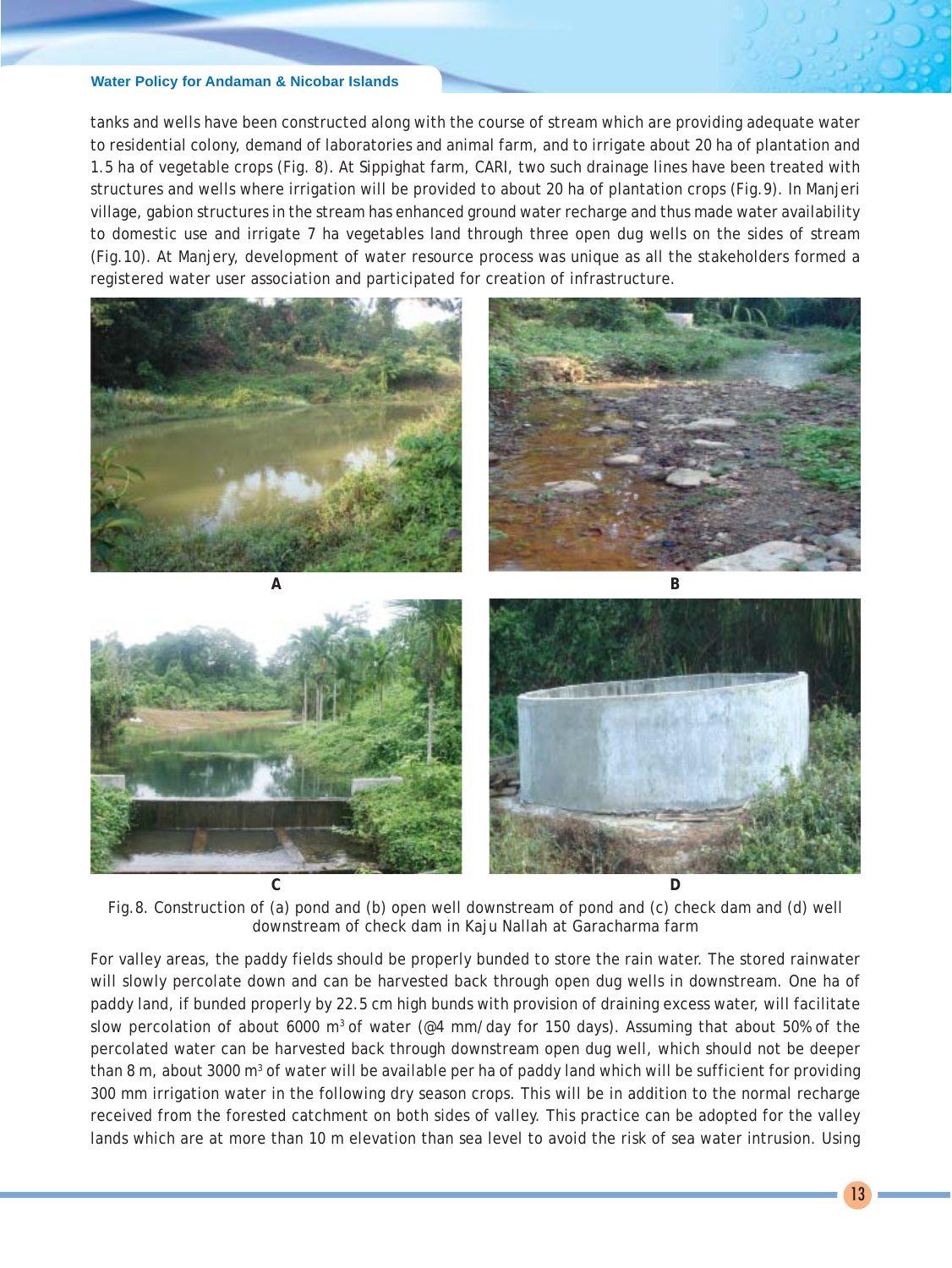tanks and wells have been constructed along with the course of stream which are providing adequate water to residential colony, demand of laboratories and animal farm, and to irrigate about 20 ha of plantation and 1.5 ha of vegetable crops (Fig. 8). At Sippighat farm, CARI, two such drainage lines have been treated with structures and wells where irrigation will be provided to about 20 ha of plantation crops (Fig.9). In Manjeri village, gabion structures in the stream has enhanced ground water recharge and thus made water availability to domestic use and irrigate 7 ha vegetables land through three open dug wells on the sides of stream (Fig.10). At Manjery, development of water resource process was unique as all the stakeholders formed a registered water user association and participated for creation of infrastructure.



Fig.8. Construction of (a) pond and (b) open well downstream of pond and (c) check dam and (d) well downstream of check dam in Kaju Nallah at Garacharma farm

For valley areas, the paddy fields should be properly bunded to store the rain water. The stored rainwater will slowly percolate down and can be harvested back through open dug wells in downstream. One ha of paddy land, if bunded properly by 22.5 cm high bunds with provision of draining excess water, will facilitate slow percolation of about 6000 m<sup>3</sup> of water ( $@4$  mm/day for 150 days). Assuming that about 50% of the percolated water can be harvested back through downstream open dug well, which should not be deeper than 8 m, about 3000 m<sup>3</sup> of water will be available per ha of paddy land which will be sufficient for providing 300 mm irrigation water in the following dry season crops. This will be in addition to the normal recharge received from the forested catchment on both sides of valley. This practice can be adopted for the valley lands which are at more than 10 m elevation than sea level to avoid the risk of sea water intrusion. Using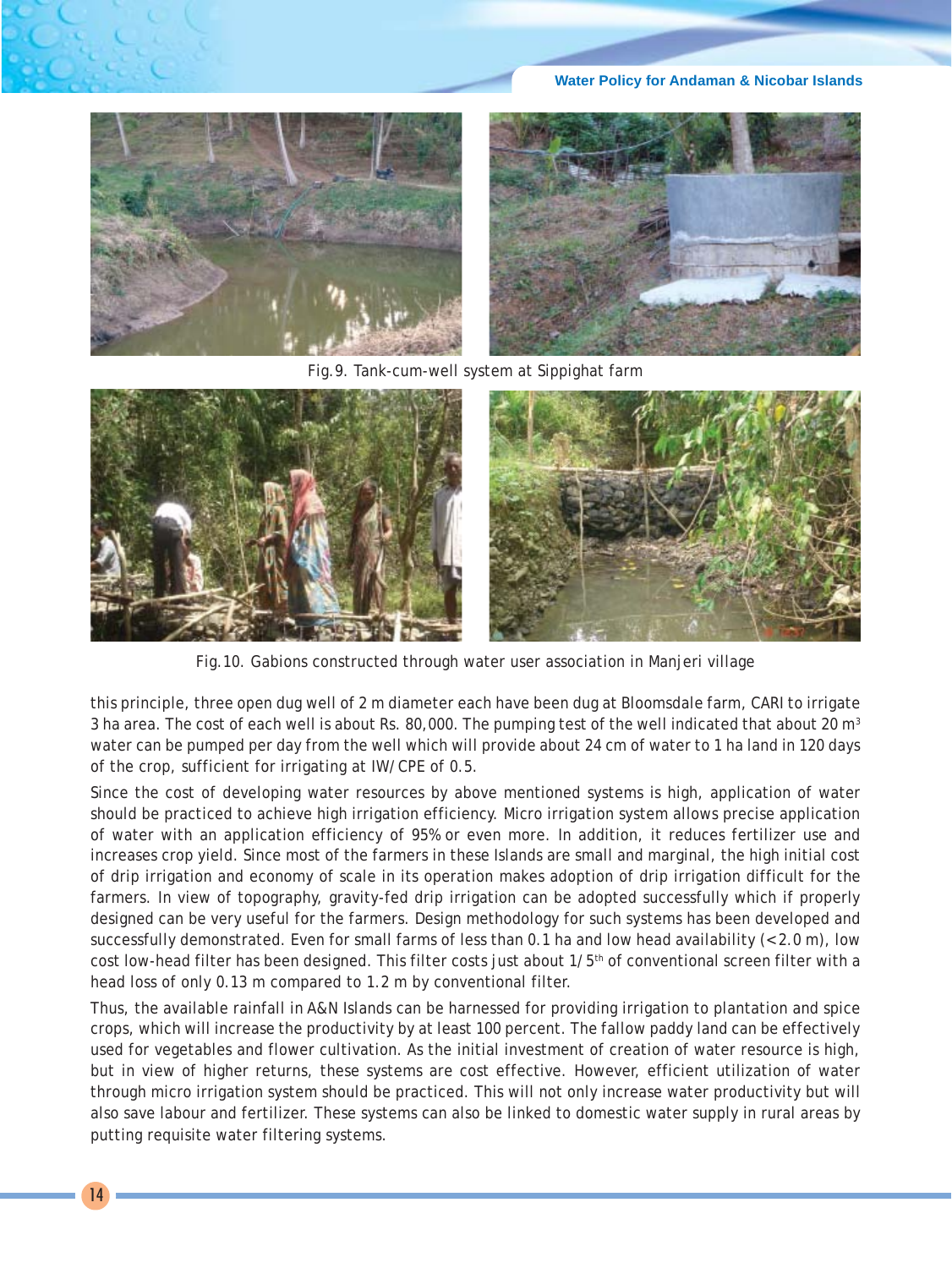**Water Policy for Andaman & Nicobar Islands**



Fig.9. Tank-cum-well system at Sippighat farm



Fig.10. Gabions constructed through water user association in Manjeri village

this principle, three open dug well of 2 m diameter each have been dug at Bloomsdale farm, CARI to irrigate 3 ha area. The cost of each well is about Rs. 80,000. The pumping test of the well indicated that about 20 m<sup>3</sup> water can be pumped per day from the well which will provide about 24 cm of water to 1 ha land in 120 days of the crop, sufficient for irrigating at IW/CPE of 0.5.

Since the cost of developing water resources by above mentioned systems is high, application of water should be practiced to achieve high irrigation efficiency. Micro irrigation system allows precise application of water with an application efficiency of 95% or even more. In addition, it reduces fertilizer use and increases crop yield. Since most of the farmers in these Islands are small and marginal, the high initial cost of drip irrigation and economy of scale in its operation makes adoption of drip irrigation difficult for the farmers. In view of topography, gravity-fed drip irrigation can be adopted successfully which if properly designed can be very useful for the farmers. Design methodology for such systems has been developed and successfully demonstrated. Even for small farms of less than 0.1 ha and low head availability (< 2.0 m), low cost low-head filter has been designed. This filter costs just about  $1/5$ <sup>th</sup> of conventional screen filter with a head loss of only 0.13 m compared to 1.2 m by conventional filter.

Thus, the available rainfall in A&N Islands can be harnessed for providing irrigation to plantation and spice crops, which will increase the productivity by at least 100 percent. The fallow paddy land can be effectively used for vegetables and flower cultivation. As the initial investment of creation of water resource is high, but in view of higher returns, these systems are cost effective. However, efficient utilization of water through micro irrigation system should be practiced. This will not only increase water productivity but will also save labour and fertilizer. These systems can also be linked to domestic water supply in rural areas by putting requisite water filtering systems.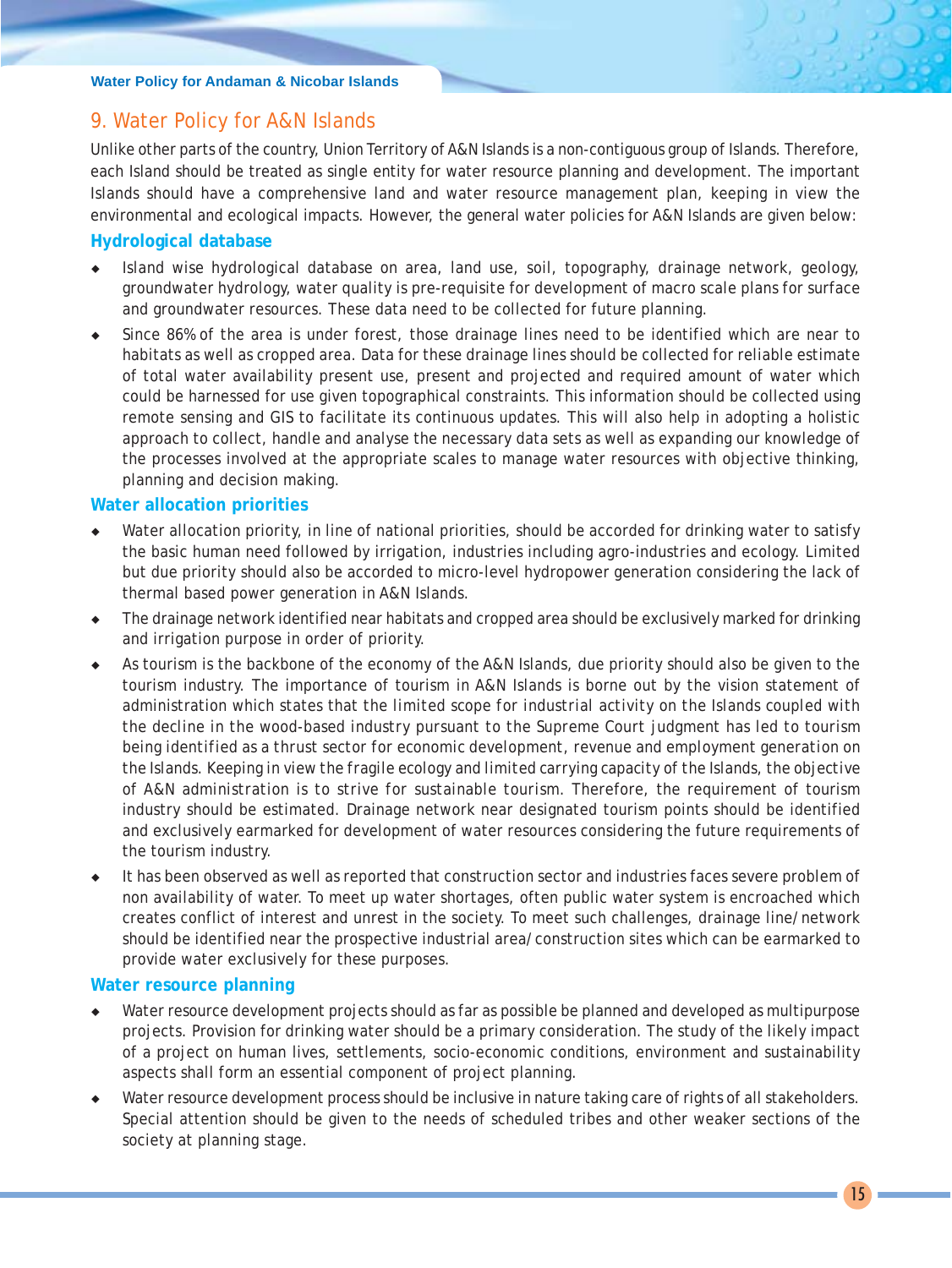# 9. Water Policy for A&N Islands

Unlike other parts of the country, Union Territory of A&N Islands is a non-contiguous group of Islands. Therefore, each Island should be treated as single entity for water resource planning and development. The important Islands should have a comprehensive land and water resource management plan, keeping in view the environmental and ecological impacts. However, the general water policies for A&N Islands are given below:

# **Hydrological database**

- Island wise hydrological database on area, land use, soil, topography, drainage network, geology, groundwater hydrology, water quality is pre-requisite for development of macro scale plans for surface and groundwater resources. These data need to be collected for future planning.
- Since 86% of the area is under forest, those drainage lines need to be identified which are near to habitats as well as cropped area. Data for these drainage lines should be collected for reliable estimate of total water availability present use, present and projected and required amount of water which could be harnessed for use given topographical constraints. This information should be collected using remote sensing and GIS to facilitate its continuous updates. This will also help in adopting a holistic approach to collect, handle and analyse the necessary data sets as well as expanding our knowledge of the processes involved at the appropriate scales to manage water resources with objective thinking, planning and decision making.

# **Water allocation priorities**

- Water allocation priority, in line of national priorities, should be accorded for drinking water to satisfy the basic human need followed by irrigation, industries including agro-industries and ecology. Limited but due priority should also be accorded to micro-level hydropower generation considering the lack of thermal based power generation in A&N Islands.
- The drainage network identified near habitats and cropped area should be exclusively marked for drinking and irrigation purpose in order of priority.
- As tourism is the backbone of the economy of the A&N Islands, due priority should also be given to the tourism industry. The importance of tourism in A&N Islands is borne out by the vision statement of administration which states that *the limited scope for industrial activity on the Islands coupled with the decline in the wood-based industry pursuant to the Supreme Court judgment has led to tourism being identified as a thrust sector for economic development, revenue and employment generation on the Islands. Keeping in view the fragile ecology and limited carrying capacity of the Islands, the objective of A&N administration is to strive for sustainable tourism.* Therefore, the requirement of tourism industry should be estimated. Drainage network near designated tourism points should be identified and exclusively earmarked for development of water resources considering the future requirements of the tourism industry.
- It has been observed as well as reported that construction sector and industries faces severe problem of non availability of water. To meet up water shortages, often public water system is encroached which creates conflict of interest and unrest in the society. To meet such challenges, drainage line/network should be identified near the prospective industrial area/construction sites which can be earmarked to provide water exclusively for these purposes.

# **Water resource planning**

- Water resource development projects should as far as possible be planned and developed as multipurpose projects. Provision for drinking water should be a primary consideration. The study of the likely impact of a project on human lives, settlements, socio-economic conditions, environment and sustainability aspects shall form an essential component of project planning.
- Water resource development process should be inclusive in nature taking care of rights of all stakeholders. Special attention should be given to the needs of scheduled tribes and other weaker sections of the society at planning stage.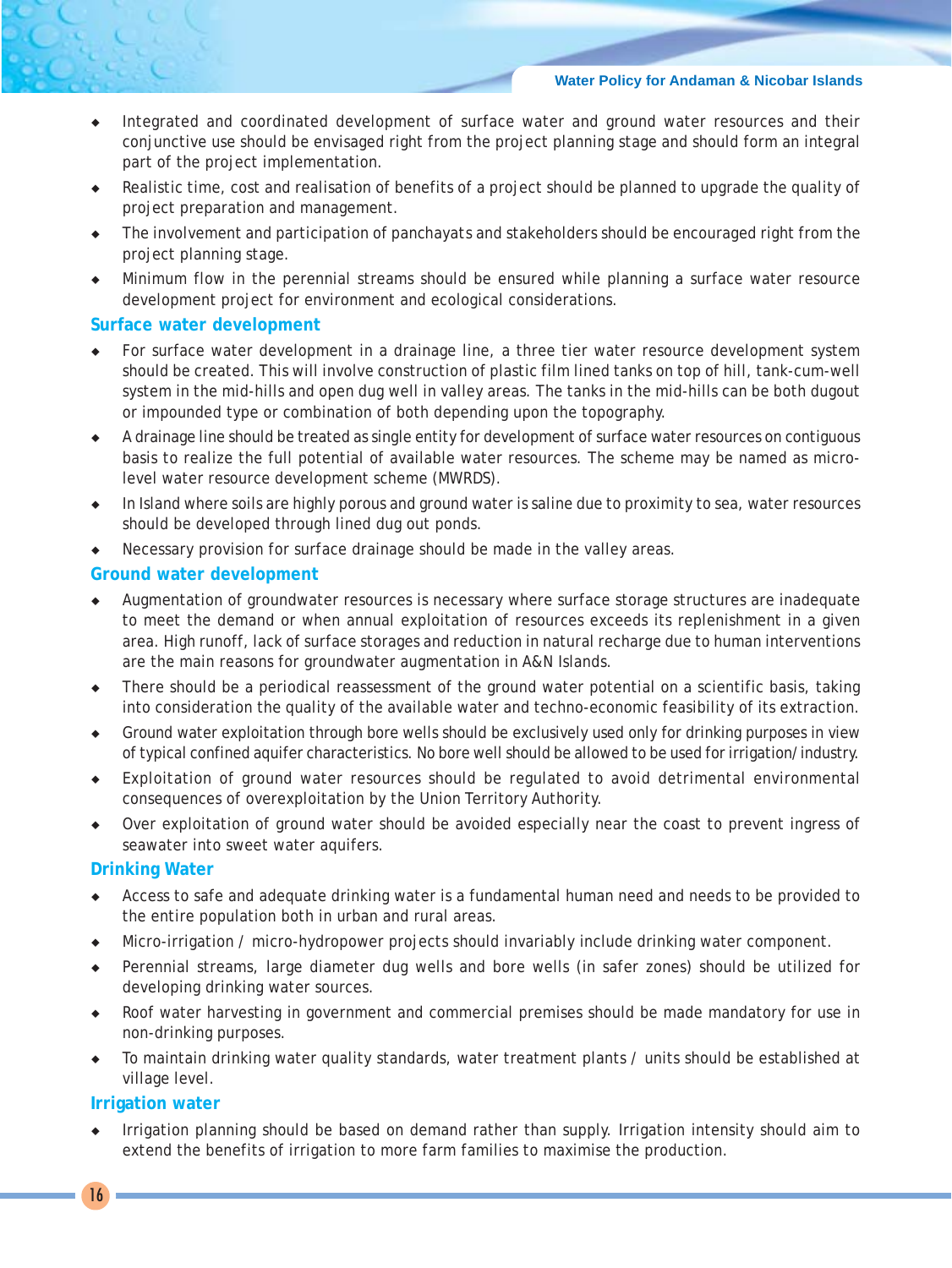- Integrated and coordinated development of surface water and ground water resources and their conjunctive use should be envisaged right from the project planning stage and should form an integral part of the project implementation.
- Realistic time, cost and realisation of benefits of a project should be planned to upgrade the quality of project preparation and management.
- ¡ The involvement and participation of *panchayats* and stakeholders should be encouraged right from the project planning stage.
- Minimum flow in the perennial streams should be ensured while planning a surface water resource development project for environment and ecological considerations.

#### **Surface water development**

- For surface water development in a drainage line, a three tier water resource development system should be created. This will involve construction of plastic film lined tanks on top of hill, tank-cum-well system in the mid-hills and open dug well in valley areas. The tanks in the mid-hills can be both dugout or impounded type or combination of both depending upon the topography.
- ¡ A drainage line should be treated as single entity for development of surface water resources on contiguous basis to realize the full potential of available water resources. The scheme may be named as microlevel water resource development scheme (MWRDS).
- In Island where soils are highly porous and ground water is saline due to proximity to sea, water resources should be developed through lined dug out ponds.
- Necessary provision for surface drainage should be made in the valley areas.

#### **Ground water development**

- ¡ Augmentation of groundwater resources is necessary where surface storage structures are inadequate to meet the demand or when annual exploitation of resources exceeds its replenishment in a given area. High runoff, lack of surface storages and reduction in natural recharge due to human interventions are the main reasons for groundwater augmentation in A&N Islands.
- $\bullet$  There should be a periodical reassessment of the ground water potential on a scientific basis, taking into consideration the quality of the available water and techno-economic feasibility of its extraction.
- Ground water exploitation through bore wells should be exclusively used only for drinking purposes in view of typical confined aquifer characteristics. No bore well should be allowed to be used for irrigation/industry.
- Exploitation of ground water resources should be regulated to avoid detrimental environmental consequences of overexploitation by the Union Territory Authority.
- Over exploitation of ground water should be avoided especially near the coast to prevent ingress of seawater into sweet water aquifers.

#### **Drinking Water**

- Access to safe and adequate drinking water is a fundamental human need and needs to be provided to the entire population both in urban and rural areas.
- Micro-irrigation / micro-hydropower projects should invariably include drinking water component.
- Perennial streams, large diameter dug wells and bore wells (in safer zones) should be utilized for developing drinking water sources.
- Roof water harvesting in government and commercial premises should be made mandatory for use in non-drinking purposes.
- To maintain drinking water quality standards, water treatment plants / units should be established at village level.

#### **Irrigation water**

Irrigation planning should be based on demand rather than supply. Irrigation intensity should aim to extend the benefits of irrigation to more farm families to maximise the production.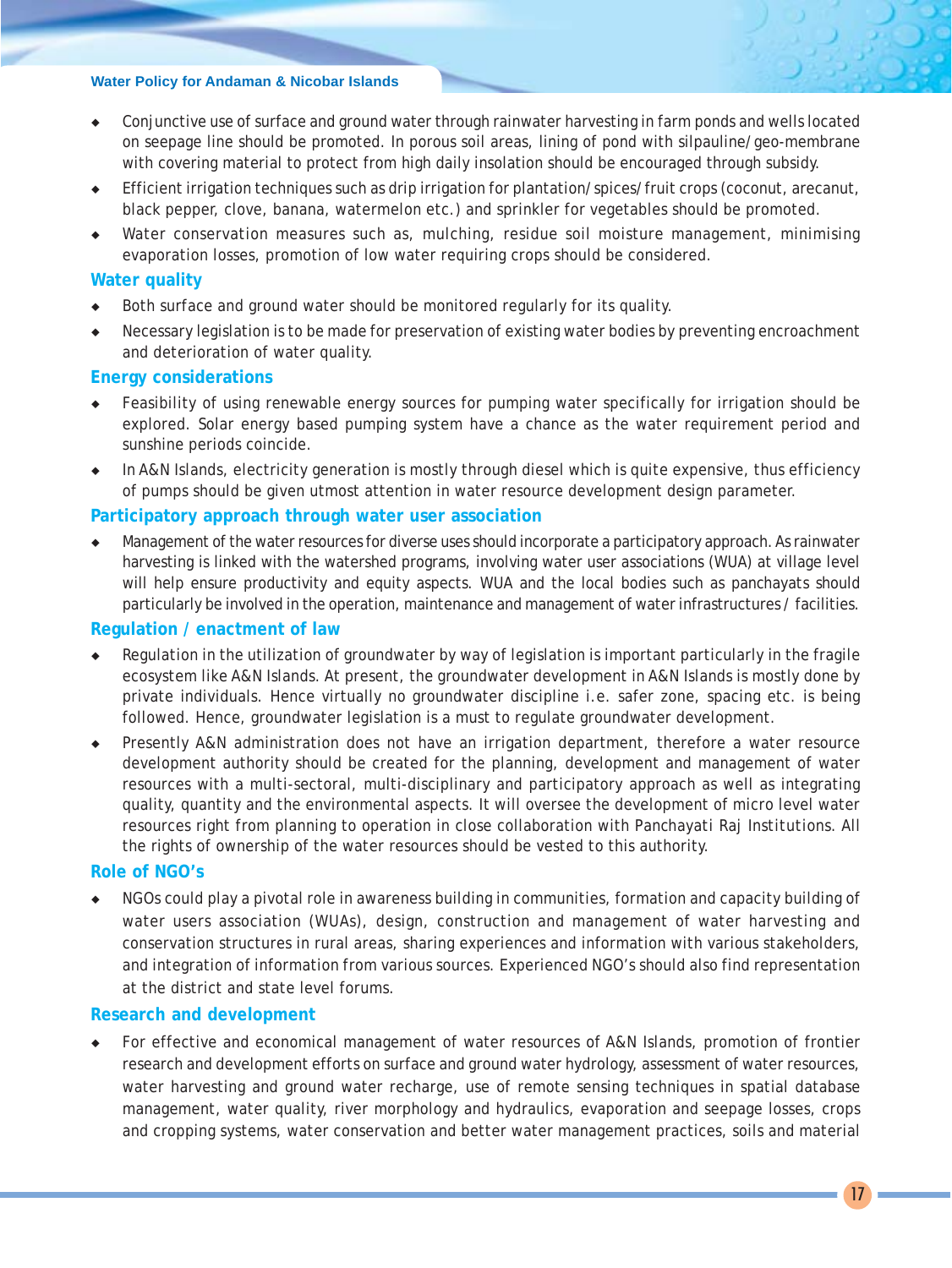- Conjunctive use of surface and ground water through rainwater harvesting in farm ponds and wells located on seepage line should be promoted. In porous soil areas, lining of pond with silpauline/geo-membrane with covering material to protect from high daily insolation should be encouraged through subsidy.
- Efficient irrigation techniques such as drip irrigation for plantation/spices/fruit crops (coconut, arecanut, black pepper, clove, banana, watermelon etc.) and sprinkler for vegetables should be promoted.
- Water conservation measures such as, mulching, residue soil moisture management, minimising evaporation losses, promotion of low water requiring crops should be considered.

#### **Water quality**

- Both surface and ground water should be monitored regularly for its quality.
- Necessary legislation is to be made for preservation of existing water bodies by preventing encroachment and deterioration of water quality.

#### **Energy considerations**

- Feasibility of using renewable energy sources for pumping water specifically for irrigation should be explored. Solar energy based pumping system have a chance as the water requirement period and sunshine periods coincide.
- In A&N Islands, electricity generation is mostly through diesel which is quite expensive, thus efficiency of pumps should be given utmost attention in water resource development design parameter.

#### **Participatory approach through water user association**

Management of the water resources for diverse uses should incorporate a participatory approach. As rainwater harvesting is linked with the watershed programs, involving water user associations (WUA) at village level will help ensure productivity and equity aspects. WUA and the local bodies such as *panchayats* should particularly be involved in the operation, maintenance and management of water infrastructures / facilities.

#### **Regulation / enactment of law**

- Regulation in the utilization of groundwater by way of legislation is important particularly in the fragile ecosystem like A&N Islands. At present, the groundwater development in A&N Islands is mostly done by private individuals. Hence virtually no groundwater discipline i.e. safer zone, spacing etc. is being followed. Hence, groundwater legislation is a must to regulate groundwater development.
- Presently A&N administration does not have an irrigation department, therefore a water resource development authority should be created for the planning, development and management of water resources with a multi-sectoral, multi-disciplinary and participatory approach as well as integrating quality, quantity and the environmental aspects. It will oversee the development of micro level water resources right from planning to operation in close collaboration with *Panchayati Raj Institutions*. All the rights of ownership of the water resources should be vested to this authority.

#### **Role of NGO's**

NGOs could play a pivotal role in awareness building in communities, formation and capacity building of water users association (WUAs), design, construction and management of water harvesting and conservation structures in rural areas, sharing experiences and information with various stakeholders, and integration of information from various sources. Experienced NGO's should also find representation at the district and state level forums.

#### **Research and development**

For effective and economical management of water resources of A&N Islands, promotion of frontier research and development efforts on surface and ground water hydrology, assessment of water resources, water harvesting and ground water recharge, use of remote sensing techniques in spatial database management, water quality, river morphology and hydraulics, evaporation and seepage losses, crops and cropping systems, water conservation and better water management practices, soils and material